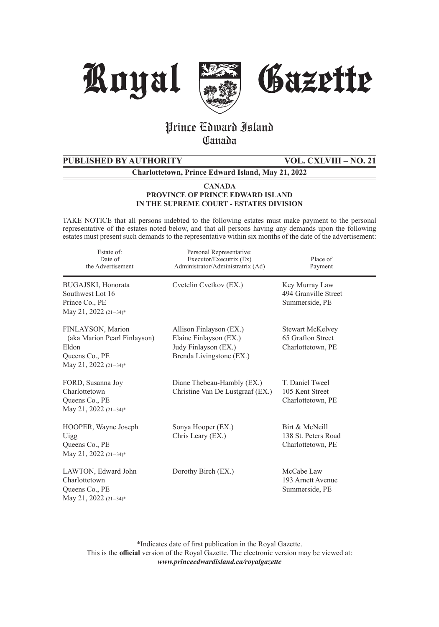





# Prince Edward Island **Canada**

# **PUBLISHED BY AUTHORITY VOL. CXLVIII – NO. 21**

**Charlottetown, Prince Edward Island, May 21, 2022**

#### **CANADA PROVINCE OF PRINCE EDWARD ISLAND IN THE SUPREME COURT - ESTATES DIVISION**

TAKE NOTICE that all persons indebted to the following estates must make payment to the personal representative of the estates noted below, and that all persons having any demands upon the following estates must present such demands to the representative within six months of the date of the advertisement:

| Estate of:<br>Date of<br>the Advertisement                                                              | Personal Representative:<br>Executor/Executrix (Ex)<br>Administrator/Administratrix (Ad)              | Place of<br>Payment                                        |
|---------------------------------------------------------------------------------------------------------|-------------------------------------------------------------------------------------------------------|------------------------------------------------------------|
| BUGAJSKI, Honorata<br>Southwest Lot 16<br>Prince Co., PE<br>May 21, 2022 (21-34)*                       | Cvetelin Cvetkov (EX.)                                                                                | Key Murray Law<br>494 Granville Street<br>Summerside, PE   |
| FINLAYSON, Marion<br>(aka Marion Pearl Finlayson)<br>Eldon<br>Queens Co., PE<br>May 21, 2022 $(21-34)*$ | Allison Finlayson (EX.)<br>Elaine Finlayson (EX.)<br>Judy Finlayson (EX.)<br>Brenda Livingstone (EX.) | Stewart McKelvey<br>65 Grafton Street<br>Charlottetown, PE |
| FORD, Susanna Joy<br>Charlottetown<br>Queens Co., PE<br>May 21, 2022 $(21-34)*$                         | Diane Thebeau-Hambly (EX.)<br>Christine Van De Lustgraaf (EX.)                                        | T. Daniel Tweel<br>105 Kent Street<br>Charlottetown, PE    |
| HOOPER, Wayne Joseph<br>Uigg<br>Queens Co., PE<br>May 21, 2022 (21-34)*                                 | Sonya Hooper (EX.)<br>Chris Leary (EX.)                                                               | Birt & McNeill<br>138 St. Peters Road<br>Charlottetown, PE |
| LAWTON, Edward John<br>Charlottetown<br>Queens Co., PE<br>May 21, 2022 (21-34)*                         | Dorothy Birch (EX.)                                                                                   | McCabe Law<br>193 Arnett Avenue<br>Summerside, PE          |

\*Indicates date of first publication in the Royal Gazette. This is the **official** version of the Royal Gazette. The electronic version may be viewed at: *www.princeedwardisland.ca/royalgazette*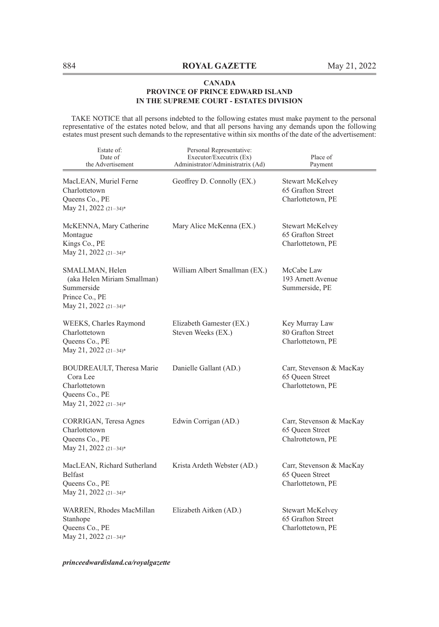TAKE NOTICE that all persons indebted to the following estates must make payment to the personal representative of the estates noted below, and that all persons having any demands upon the following estates must present such demands to the representative within six months of the date of the advertisement:

| Estate of:<br>Date of<br>the Advertisement                                                              | Personal Representative:<br>Executor/Executrix (Ex)<br>Administrator/Administratrix (Ad) | Place of<br>Payment                                              |
|---------------------------------------------------------------------------------------------------------|------------------------------------------------------------------------------------------|------------------------------------------------------------------|
| MacLEAN, Muriel Ferne<br>Charlottetown<br>Queens Co., PE<br>May 21, 2022 (21-34)*                       | Geoffrey D. Connolly (EX.)                                                               | Stewart McKelvey<br>65 Grafton Street<br>Charlottetown, PE       |
| McKENNA, Mary Catherine<br>Montague<br>Kings Co., PE<br>May 21, 2022 (21-34)*                           | Mary Alice McKenna (EX.)                                                                 | Stewart McKelvey<br>65 Grafton Street<br>Charlottetown, PE       |
| SMALLMAN, Helen<br>(aka Helen Miriam Smallman)<br>Summerside<br>Prince Co., PE<br>May 21, 2022 (21-34)* | William Albert Smallman (EX.)                                                            | McCabe Law<br>193 Arnett Avenue<br>Summerside, PE                |
| WEEKS, Charles Raymond<br>Charlottetown<br>Queens Co., PE<br>May 21, 2022 (21-34)*                      | Elizabeth Gamester (EX.)<br>Steven Weeks (EX.)                                           | Key Murray Law<br>80 Grafton Street<br>Charlottetown, PE         |
| BOUDREAULT, Theresa Marie<br>Cora Lee<br>Charlottetown<br>Queens Co., PE<br>May 21, 2022 (21-34)*       | Danielle Gallant (AD.)                                                                   | Carr, Stevenson & MacKay<br>65 Queen Street<br>Charlottetown, PE |
| CORRIGAN, Teresa Agnes<br>Charlottetown<br>Queens Co., PE<br>May 21, 2022 (21-34)*                      | Edwin Corrigan (AD.)                                                                     | Carr, Stevenson & MacKay<br>65 Queen Street<br>Chalrottetown, PE |
| MacLEAN, Richard Sutherland<br><b>Belfast</b><br>Queens Co., PE<br>May 21, 2022 (21-34)*                | Krista Ardeth Webster (AD.)                                                              | Carr, Stevenson & MacKay<br>65 Oueen Street<br>Charlottetown, PE |
| WARREN, Rhodes MacMillan<br>Stanhope<br>Queens Co., PE<br>May 21, 2022 (21-34)*                         | Elizabeth Aitken (AD.)                                                                   | Stewart McKelvey<br>65 Grafton Street<br>Charlottetown, PE       |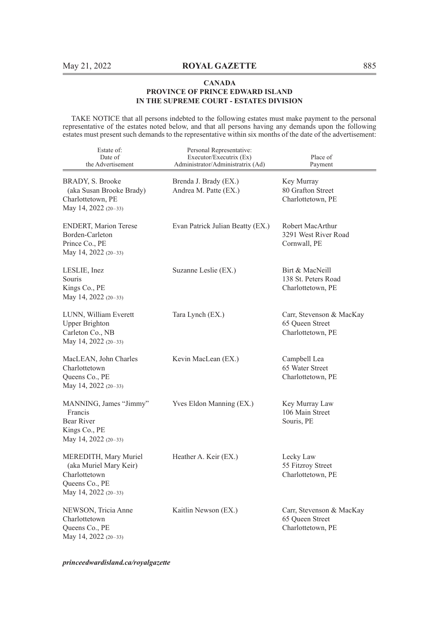TAKE NOTICE that all persons indebted to the following estates must make payment to the personal representative of the estates noted below, and that all persons having any demands upon the following estates must present such demands to the representative within six months of the date of the advertisement:

| Estate of:<br>Date of<br>the Advertisement                                                                   | Personal Representative:<br>Executor/Executrix (Ex)<br>Administrator/Administratrix (Ad) | Place of<br>Payment                                              |
|--------------------------------------------------------------------------------------------------------------|------------------------------------------------------------------------------------------|------------------------------------------------------------------|
| BRADY, S. Brooke<br>(aka Susan Brooke Brady)<br>Charlottetown, PE<br>May 14, 2022 (20-33)                    | Brenda J. Brady (EX.)<br>Andrea M. Patte (EX.)                                           | Key Murray<br>80 Grafton Street<br>Charlottetown, PE             |
| <b>ENDERT, Marion Terese</b><br>Borden-Carleton<br>Prince Co., PE<br>May 14, 2022 (20-33)                    | Evan Patrick Julian Beatty (EX.)                                                         | Robert MacArthur<br>3291 West River Road<br>Cornwall, PE         |
| LESLIE, Inez<br>Souris<br>Kings Co., PE<br>May 14, 2022 (20-33)                                              | Suzanne Leslie (EX.)                                                                     | Birt & MacNeill<br>138 St. Peters Road<br>Charlottetown, PE      |
| LUNN, William Everett<br><b>Upper Brighton</b><br>Carleton Co., NB<br>May 14, 2022 (20-33)                   | Tara Lynch (EX.)                                                                         | Carr, Stevenson & MacKay<br>65 Queen Street<br>Charlottetown, PE |
| MacLEAN, John Charles<br>Charlottetown<br>Queens Co., PE<br>May 14, 2022 $(20-33)$                           | Kevin MacLean (EX.)                                                                      | Campbell Lea<br>65 Water Street<br>Charlottetown, PE             |
| MANNING, James "Jimmy"<br>Francis<br>Bear River<br>Kings Co., PE<br>May 14, 2022 (20-33)                     | Yves Eldon Manning (EX.)                                                                 | Key Murray Law<br>106 Main Street<br>Souris, PE                  |
| MEREDITH, Mary Muriel<br>(aka Muriel Mary Keir)<br>Charlottetown<br>Queens Co., PE<br>May 14, 2022 $(20-33)$ | Heather A. Keir (EX.)                                                                    | Lecky Law<br>55 Fitzroy Street<br>Charlottetown, PE              |
| NEWSON, Tricia Anne<br>Charlottetown<br>Queens Co., PE<br>May 14, 2022 (20-33)                               | Kaitlin Newson (EX.)                                                                     | Carr, Stevenson & MacKay<br>65 Queen Street<br>Charlottetown, PE |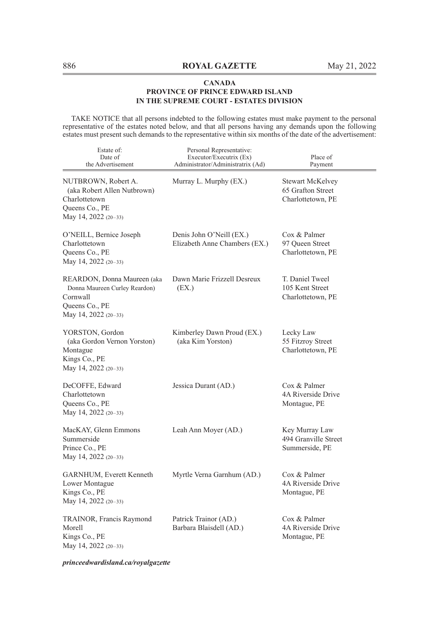TAKE NOTICE that all persons indebted to the following estates must make payment to the personal representative of the estates noted below, and that all persons having any demands upon the following estates must present such demands to the representative within six months of the date of the advertisement:

| Estate of:<br>Date of<br>the Advertisement                                                                         | Personal Representative:<br>Executor/Executrix (Ex)<br>Administrator/Administratrix (Ad) | Place of<br>Payment                                               |
|--------------------------------------------------------------------------------------------------------------------|------------------------------------------------------------------------------------------|-------------------------------------------------------------------|
| NUTBROWN, Robert A.<br>(aka Robert Allen Nutbrown)<br>Charlottetown<br>Queens Co., PE<br>May 14, 2022 (20-33)      | Murray L. Murphy (EX.)                                                                   | <b>Stewart McKelvey</b><br>65 Grafton Street<br>Charlottetown, PE |
| O'NEILL, Bernice Joseph<br>Charlottetown<br>Queens Co., PE<br>May 14, 2022 (20-33)                                 | Denis John O'Neill (EX.)<br>Elizabeth Anne Chambers (EX.)                                | Cox & Palmer<br>97 Queen Street<br>Charlottetown, PE              |
| REARDON, Donna Maureen (aka<br>Donna Maureen Curley Reardon)<br>Cornwall<br>Queens Co., PE<br>May 14, 2022 (20-33) | Dawn Marie Frizzell Desreux<br>(EX.)                                                     | T. Daniel Tweel<br>105 Kent Street<br>Charlottetown, PE           |
| YORSTON, Gordon<br>(aka Gordon Vernon Yorston)<br>Montague<br>Kings Co., PE<br>May 14, 2022 (20-33)                | Kimberley Dawn Proud (EX.)<br>(aka Kim Yorston)                                          | Lecky Law<br>55 Fitzroy Street<br>Charlottetown, PE               |
| DeCOFFE, Edward<br>Charlottetown<br>Queens Co., PE<br>May 14, 2022 (20-33)                                         | Jessica Durant (AD.)                                                                     | Cox & Palmer<br>4A Riverside Drive<br>Montague, PE                |
| MacKAY, Glenn Emmons<br>Summerside<br>Prince Co., PE<br>May 14, 2022 (20-33)                                       | Leah Ann Moyer (AD.)                                                                     | Key Murray Law<br>494 Granville Street<br>Summerside, PE          |
| GARNHUM, Everett Kenneth<br>Lower Montague<br>Kings Co., PE<br>May 14, 2022 (20-33)                                | Myrtle Verna Garnhum (AD.)                                                               | Cox & Palmer<br>4A Riverside Drive<br>Montague, PE                |
| TRAINOR, Francis Raymond<br>Morell<br>Kings Co., PE<br>May 14, 2022 (20–33)                                        | Patrick Trainor (AD.)<br>Barbara Blaisdell (AD.)                                         | Cox & Palmer<br>4A Riverside Drive<br>Montague, PE                |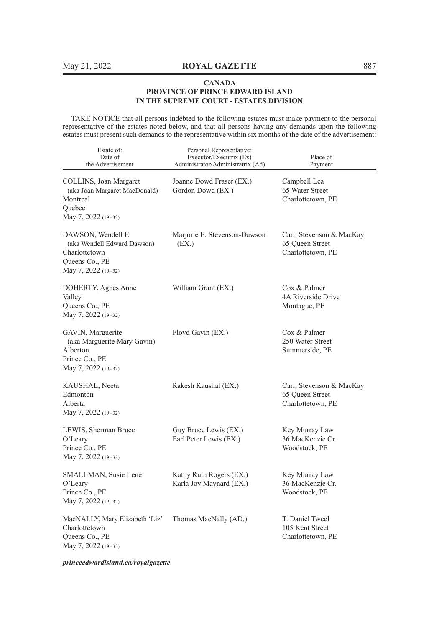TAKE NOTICE that all persons indebted to the following estates must make payment to the personal representative of the estates noted below, and that all persons having any demands upon the following estates must present such demands to the representative within six months of the date of the advertisement:

| Estate of:<br>Date of<br>the Advertisement                                                                  | Personal Representative:<br>Executor/Executrix (Ex)<br>Administrator/Administratrix (Ad) | Place of<br>Payment                                              |
|-------------------------------------------------------------------------------------------------------------|------------------------------------------------------------------------------------------|------------------------------------------------------------------|
| COLLINS, Joan Margaret<br>(aka Joan Margaret MacDonald)<br>Montreal<br>Ouebec<br>May 7, 2022 (19-32)        | Joanne Dowd Fraser (EX.)<br>Gordon Dowd (EX.)                                            | Campbell Lea<br>65 Water Street<br>Charlottetown, PE             |
| DAWSON, Wendell E.<br>(aka Wendell Edward Dawson)<br>Charlottetown<br>Queens Co., PE<br>May 7, 2022 (19-32) | Marjorie E. Stevenson-Dawson<br>(EX.)                                                    | Carr, Stevenson & MacKay<br>65 Queen Street<br>Charlottetown, PE |
| DOHERTY, Agnes Anne<br>Valley<br>Queens Co., PE<br>May 7, 2022 (19-32)                                      | William Grant (EX.)                                                                      | Cox & Palmer<br>4A Riverside Drive<br>Montague, PE               |
| GAVIN, Marguerite<br>(aka Marguerite Mary Gavin)<br>Alberton<br>Prince Co., PE<br>May 7, 2022 (19-32)       | Floyd Gavin (EX.)                                                                        | Cox & Palmer<br>250 Water Street<br>Summerside, PE               |
| KAUSHAL, Neeta<br>Edmonton<br>Alberta<br>May 7, 2022 (19-32)                                                | Rakesh Kaushal (EX.)                                                                     | Carr, Stevenson & MacKay<br>65 Oueen Street<br>Charlottetown, PE |
| LEWIS, Sherman Bruce<br>$O'$ Leary<br>Prince Co., PE<br>May 7, 2022 (19-32)                                 | Guy Bruce Lewis (EX.)<br>Earl Peter Lewis (EX.)                                          | Key Murray Law<br>36 MacKenzie Cr.<br>Woodstock, PE              |
| SMALLMAN, Susie Irene<br>O'Leary<br>Prince Co., PE<br>May 7, 2022 (19-32)                                   | Kathy Ruth Rogers (EX.)<br>Karla Joy Maynard (EX.)                                       | Key Murray Law<br>36 MacKenzie Cr.<br>Woodstock, PE              |
| MacNALLY, Mary Elizabeth 'Liz'<br>Charlottetown<br>Queens Co., PE<br>May 7, 2022 (19-32)                    | Thomas MacNally (AD.)                                                                    | T. Daniel Tweel<br>105 Kent Street<br>Charlottetown, PE          |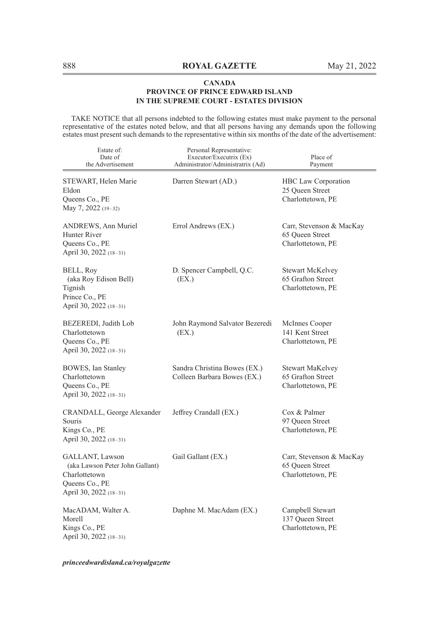TAKE NOTICE that all persons indebted to the following estates must make payment to the personal representative of the estates noted below, and that all persons having any demands upon the following estates must present such demands to the representative within six months of the date of the advertisement:

| Estate of:<br>Date of<br>the Advertisement                                                                      | Personal Representative:<br>Executor/Executrix (Ex)<br>Administrator/Administratrix (Ad) | Place of<br>Payment                                               |
|-----------------------------------------------------------------------------------------------------------------|------------------------------------------------------------------------------------------|-------------------------------------------------------------------|
| STEWART, Helen Marie<br>Eldon<br>Queens Co., PE<br>May 7, 2022 (19-32)                                          | Darren Stewart (AD.)                                                                     | HBC Law Corporation<br>25 Queen Street<br>Charlottetown, PE       |
| ANDREWS, Ann Muriel<br>Hunter River<br>Queens Co., PE<br>April 30, 2022 (18-31)                                 | Errol Andrews (EX.)                                                                      | Carr, Stevenson & MacKay<br>65 Queen Street<br>Charlottetown, PE  |
| BELL, Roy<br>(aka Roy Edison Bell)<br>Tignish<br>Prince Co., PE<br>April 30, 2022 (18-31)                       | D. Spencer Campbell, Q.C.<br>(EX.)                                                       | <b>Stewart McKelvey</b><br>65 Grafton Street<br>Charlottetown, PE |
| BEZEREDI, Judith Lob<br>Charlottetown<br>Queens Co., PE<br>April 30, 2022 (18-31)                               | John Raymond Salvator Bezeredi<br>(EX.)                                                  | McInnes Cooper<br>141 Kent Street<br>Charlottetown, PE            |
| BOWES, Ian Stanley<br>Charlottetown<br>Queens Co., PE<br>April 30, 2022 (18-31)                                 | Sandra Christina Bowes (EX.)<br>Colleen Barbara Bowes (EX.)                              | Stewart MaKelvey<br>65 Grafton Street<br>Charlottetown, PE        |
| CRANDALL, George Alexander<br>Souris<br>Kings Co., PE<br>April 30, 2022 (18-31)                                 | Jeffrey Crandall (EX.)                                                                   | Cox & Palmer<br>97 Queen Street<br>Charlottetown, PE              |
| GALLANT, Lawson<br>(aka Lawson Peter John Gallant)<br>Charlottetown<br>Queens Co., PE<br>April 30, 2022 (18-31) | Gail Gallant (EX.)                                                                       | Carr, Stevenson & MacKay<br>65 Queen Street<br>Charlottetown, PE  |
| MacADAM, Walter A.<br>Morell<br>Kings Co., PE<br>April 30, 2022 (18-31)                                         | Daphne M. MacAdam (EX.)                                                                  | Campbell Stewart<br>137 Queen Street<br>Charlottetown, PE         |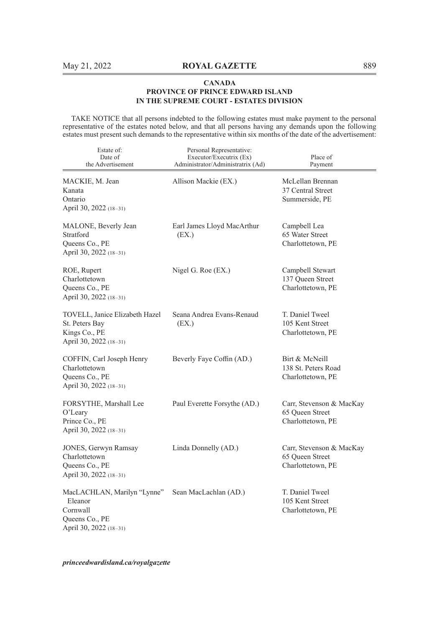TAKE NOTICE that all persons indebted to the following estates must make payment to the personal representative of the estates noted below, and that all persons having any demands upon the following estates must present such demands to the representative within six months of the date of the advertisement:

| Estate of:<br>Date of<br>the Advertisement                                                     | Personal Representative:<br>Executor/Executrix (Ex)<br>Administrator/Administratrix (Ad) | Place of<br>Payment                                              |
|------------------------------------------------------------------------------------------------|------------------------------------------------------------------------------------------|------------------------------------------------------------------|
| MACKIE, M. Jean<br>Kanata<br>Ontario<br>April 30, 2022 (18-31)                                 | Allison Mackie (EX.)                                                                     | McLellan Brennan<br>37 Central Street<br>Summerside, PE          |
| MALONE, Beverly Jean<br>Stratford<br>Queens Co., PE<br>April 30, 2022 (18-31)                  | Earl James Lloyd MacArthur<br>(EX.)                                                      | Campbell Lea<br>65 Water Street<br>Charlottetown, PE             |
| ROE, Rupert<br>Charlottetown<br>Queens Co., PE<br>April 30, 2022 (18-31)                       | Nigel G. Roe (EX.)                                                                       | Campbell Stewart<br>137 Queen Street<br>Charlottetown, PE        |
| TOVELL, Janice Elizabeth Hazel<br>St. Peters Bay<br>Kings Co., PE<br>April 30, 2022 (18-31)    | Seana Andrea Evans-Renaud<br>(EX.)                                                       | T. Daniel Tweel<br>105 Kent Street<br>Charlottetown, PE          |
| COFFIN, Carl Joseph Henry<br>Charlottetown<br>Queens Co., PE<br>April 30, 2022 (18-31)         | Beverly Faye Coffin (AD.)                                                                | Birt & McNeill<br>138 St. Peters Road<br>Charlottetown, PE       |
| FORSYTHE, Marshall Lee<br>O'Leary<br>Prince Co., PE<br>April 30, 2022 (18-31)                  | Paul Everette Forsythe (AD.)                                                             | Carr, Stevenson & MacKay<br>65 Queen Street<br>Charlottetown, PE |
| JONES, Gerwyn Ramsay<br>Charlottetown<br>Queens Co., PE<br>April 30, 2022 (18-31)              | Linda Donnelly (AD.)                                                                     | Carr, Stevenson & MacKay<br>65 Queen Street<br>Charlottetown, PE |
| MacLACHLAN, Marilyn "Lynne"<br>Eleanor<br>Cornwall<br>Queens Co., PE<br>April 30, 2022 (18-31) | Sean MacLachlan (AD.)                                                                    | T. Daniel Tweel<br>105 Kent Street<br>Charlottetown, PE          |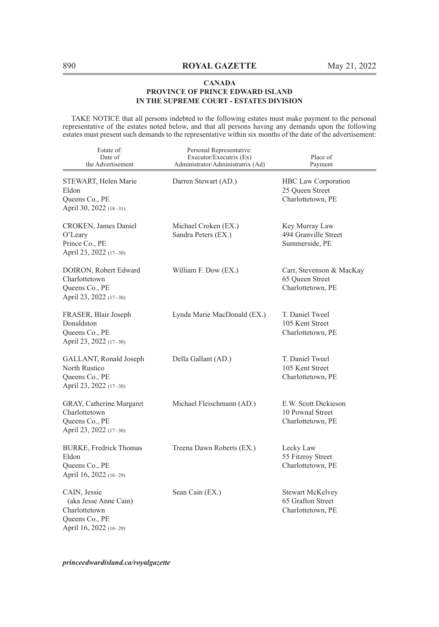TAKE NOTICE that all persons indebted to the following estates must make payment to the personal representative of the estates noted below, and that all persons having any demands upon the following estates must present such demands to the representative within six months of the date of the advertisement:

| Estate of:<br>Date of<br>the Advertisement                                                         | Personal Representative:<br>Executor/Executrix (Ex)<br>Administrator/Administratrix (Ad) | Place of<br>Payment                                               |
|----------------------------------------------------------------------------------------------------|------------------------------------------------------------------------------------------|-------------------------------------------------------------------|
| STEWART, Helen Marie<br>Eldon<br>Queens Co., PE<br>April 30, 2022 (18-31)                          | Darren Stewart (AD.)                                                                     | HBC Law Corporation<br>25 Queen Street<br>Charlottetown, PE       |
| CROKEN, James Daniel<br>$O2$ Leary<br>Prince Co., PE<br>April 23, 2022 (17-30)                     | Michael Croken (EX.)<br>Sandra Peters (EX.)                                              | Key Murray Law<br>494 Granville Street<br>Summerside, PE          |
| DOIRON, Robert Edward<br>Charlottetown<br>Queens Co., PE<br>April 23, 2022 (17-30)                 | William F. Dow (EX.)                                                                     | Carr, Stevenson & MacKay<br>65 Queen Street<br>Charlottetown, PE  |
| FRASER, Blair Joseph<br>Donaldston<br>Queens Co., PE<br>April 23, 2022 (17-30)                     | Lynda Marie MacDonald (EX.)                                                              | T. Daniel Tweel<br>105 Kent Street<br>Charlottetown, PE           |
| GALLANT, Ronald Joseph<br>North Rustico<br>Queens Co., PE<br>April 23, 2022 (17-30)                | Della Gallant (AD.)                                                                      | T. Daniel Tweel<br>105 Kent Street<br>Charlottetown, PE           |
| GRAY, Catherine Margaret<br>Charlottetown<br>Queens Co., PE<br>April 23, 2022 (17-30)              | Michael Fleischmann (AD.)                                                                | E.W. Scott Dickieson<br>10 Pownal Street<br>Charlottetown, PE     |
| BURKE, Fredrick Thomas<br>Eldon<br>Queens Co., PE<br>April 16, 2022 (16-29)                        | Treena Dawn Roberts (EX.)                                                                | Lecky Law<br>55 Fitzroy Street<br>Charlottetown, PE               |
| CAIN, Jessie<br>(aka Jesse Anne Cain)<br>Charlottetown<br>Queens Co., PE<br>April 16, 2022 (16-29) | Sean Cain (EX.)                                                                          | <b>Stewart McKelvey</b><br>65 Grafton Street<br>Charlottetown, PE |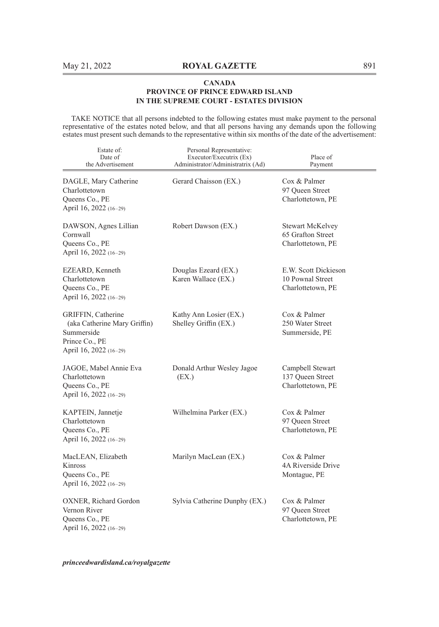TAKE NOTICE that all persons indebted to the following estates must make payment to the personal representative of the estates noted below, and that all persons having any demands upon the following estates must present such demands to the representative within six months of the date of the advertisement:

| Estate of:<br>Date of<br>the Advertisement                                                                   | Personal Representative:<br>Executor/Executrix (Ex)<br>Administrator/Administratrix (Ad) | Place of<br>Payment                                               |
|--------------------------------------------------------------------------------------------------------------|------------------------------------------------------------------------------------------|-------------------------------------------------------------------|
| DAGLE, Mary Catherine<br>Charlottetown<br>Queens Co., PE<br>April 16, 2022 (16-29)                           | Gerard Chaisson (EX.)                                                                    | Cox & Palmer<br>97 Oueen Street<br>Charlottetown, PE              |
| DAWSON, Agnes Lillian<br>Cornwall<br>Queens Co., PE<br>April 16, 2022 (16-29)                                | Robert Dawson (EX.)                                                                      | <b>Stewart McKelvey</b><br>65 Grafton Street<br>Charlottetown, PE |
| EZEARD, Kenneth<br>Charlottetown<br>Queens Co., PE<br>April 16, 2022 (16-29)                                 | Douglas Ezeard (EX.)<br>Karen Wallace (EX.)                                              | E.W. Scott Dickieson<br>10 Pownal Street<br>Charlottetown, PE     |
| GRIFFIN, Catherine<br>(aka Catherine Mary Griffin)<br>Summerside<br>Prince Co., PE<br>April 16, 2022 (16-29) | Kathy Ann Losier (EX.)<br>Shelley Griffin (EX.)                                          | Cox & Palmer<br>250 Water Street<br>Summerside, PE                |
| JAGOE, Mabel Annie Eva<br>Charlottetown<br>Queens Co., PE<br>April 16, 2022 (16-29)                          | Donald Arthur Wesley Jagoe<br>(EX.)                                                      | Campbell Stewart<br>137 Queen Street<br>Charlottetown, PE         |
| KAPTEIN, Jannetje<br>Charlottetown<br>Queens Co., PE<br>April 16, 2022 (16-29)                               | Wilhelmina Parker (EX.)                                                                  | Cox & Palmer<br>97 Queen Street<br>Charlottetown, PE              |
| MacLEAN, Elizabeth<br>Kinross<br>Queens Co., PE<br>April 16, 2022 (16-29)                                    | Marilyn MacLean (EX.)                                                                    | Cox & Palmer<br>4A Riverside Drive<br>Montague, PE                |
| OXNER, Richard Gordon<br>Vernon River<br>Queens Co., PE<br>April 16, 2022 (16-29)                            | Sylvia Catherine Dunphy (EX.)                                                            | Cox & Palmer<br>97 Queen Street<br>Charlottetown, PE              |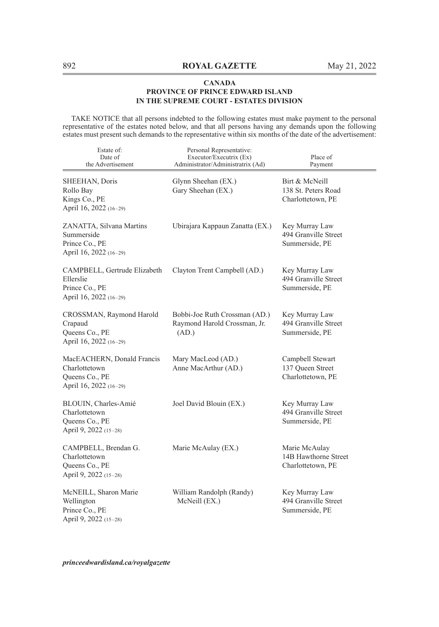TAKE NOTICE that all persons indebted to the following estates must make payment to the personal representative of the estates noted below, and that all persons having any demands upon the following estates must present such demands to the representative within six months of the date of the advertisement:

| Estate of:<br>Date of<br>the Advertisement                                              | Personal Representative:<br>Executor/Executrix (Ex)<br>Administrator/Administratrix (Ad) | Place of<br>Payment                                        |
|-----------------------------------------------------------------------------------------|------------------------------------------------------------------------------------------|------------------------------------------------------------|
| SHEEHAN, Doris<br>Rollo Bay<br>Kings Co., PE<br>April 16, 2022 (16-29)                  | Glynn Sheehan (EX.)<br>Gary Sheehan (EX.)                                                | Birt & McNeill<br>138 St. Peters Road<br>Charlottetown, PE |
| ZANATTA, Silvana Martins<br>Summerside<br>Prince Co., PE<br>April 16, 2022 (16-29)      | Ubirajara Kappaun Zanatta (EX.)                                                          | Key Murray Law<br>494 Granville Street<br>Summerside, PE   |
| CAMPBELL, Gertrude Elizabeth<br>Ellerslie<br>Prince Co., PE<br>April 16, 2022 (16-29)   | Clayton Trent Campbell (AD.)                                                             | Key Murray Law<br>494 Granville Street<br>Summerside, PE   |
| CROSSMAN, Raymond Harold<br>Crapaud<br>Queens Co., PE<br>April 16, 2022 (16-29)         | Bobbi-Joe Ruth Crossman (AD.)<br>Raymond Harold Crossman, Jr.<br>(AD.)                   | Key Murray Law<br>494 Granville Street<br>Summerside, PE   |
| MacEACHERN, Donald Francis<br>Charlottetown<br>Queens Co., PE<br>April 16, 2022 (16-29) | Mary MacLeod (AD.)<br>Anne MacArthur (AD.)                                               | Campbell Stewart<br>137 Queen Street<br>Charlottetown, PE  |
| BLOUIN, Charles-Amié<br>Charlottetown<br>Queens Co., PE<br>April 9, 2022 (15-28)        | Joel David Blouin (EX.)                                                                  | Key Murray Law<br>494 Granville Street<br>Summerside, PE   |
| CAMPBELL, Brendan G.<br>Charlottetown<br>Queens Co., PE<br>April 9, 2022 (15-28)        | Marie McAulay (EX.)                                                                      | Marie McAulay<br>14B Hawthorne Street<br>Charlottetown, PE |
| McNEILL, Sharon Marie<br>Wellington<br>Prince Co., PE<br>April 9, 2022 (15-28)          | William Randolph (Randy)<br>McNeill (EX.)                                                | Key Murray Law<br>494 Granville Street<br>Summerside, PE   |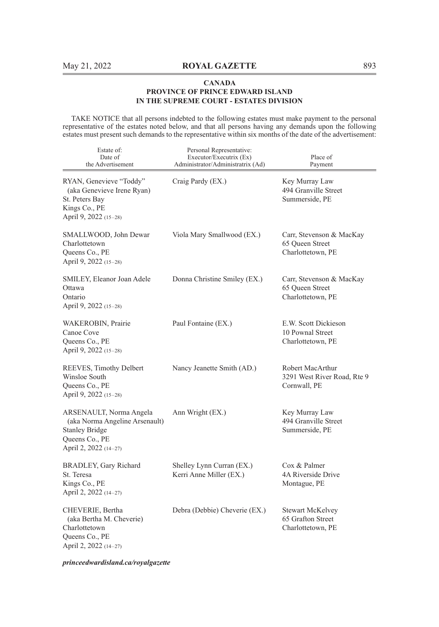TAKE NOTICE that all persons indebted to the following estates must make payment to the personal representative of the estates noted below, and that all persons having any demands upon the following estates must present such demands to the representative within six months of the date of the advertisement:

| Estate of:<br>Date of<br>the Advertisement                                                                                    | Personal Representative:<br>Executor/Executrix (Ex)<br>Administrator/Administratrix (Ad) | Place of<br>Payment                                               |
|-------------------------------------------------------------------------------------------------------------------------------|------------------------------------------------------------------------------------------|-------------------------------------------------------------------|
| RYAN, Genevieve "Toddy"<br>(aka Genevieve Irene Ryan)<br>St. Peters Bay<br>Kings Co., PE<br>April 9, 2022 (15-28)             | Craig Pardy (EX.)                                                                        | Key Murray Law<br>494 Granville Street<br>Summerside, PE          |
| SMALLWOOD, John Dewar<br>Charlottetown<br>Queens Co., PE<br>April 9, 2022 (15-28)                                             | Viola Mary Smallwood (EX.)                                                               | Carr, Stevenson & MacKay<br>65 Queen Street<br>Charlottetown, PE  |
| SMILEY, Eleanor Joan Adele<br>Ottawa<br>Ontario<br>April 9, 2022 (15-28)                                                      | Donna Christine Smiley (EX.)                                                             | Carr, Stevenson & MacKay<br>65 Oueen Street<br>Charlottetown, PE  |
| WAKEROBIN, Prairie<br>Canoe Cove<br>Queens Co., PE<br>April 9, 2022 (15-28)                                                   | Paul Fontaine (EX.)                                                                      | E.W. Scott Dickieson<br>10 Pownal Street<br>Charlottetown, PE     |
| REEVES, Timothy Delbert<br>Winsloe South<br>Queens Co., PE<br>April 9, 2022 (15-28)                                           | Nancy Jeanette Smith (AD.)                                                               | Robert MacArthur<br>3291 West River Road, Rte 9<br>Cornwall, PE   |
| ARSENAULT, Norma Angela<br>(aka Norma Angeline Arsenault)<br><b>Stanley Bridge</b><br>Queens Co., PE<br>April 2, 2022 (14–27) | Ann Wright (EX.)                                                                         | Key Murray Law<br>494 Granville Street<br>Summerside, PE          |
| BRADLEY, Gary Richard<br>St. Teresa<br>Kings Co., PE<br>April 2, 2022 (14-27)                                                 | Shelley Lynn Curran (EX.)<br>Kerri Anne Miller (EX.)                                     | Cox & Palmer<br>4A Riverside Drive<br>Montague, PE                |
| CHEVERIE, Bertha<br>(aka Bertha M. Cheverie)<br>Charlottetown<br>Queens Co., PE<br>April 2, 2022 (14-27)                      | Debra (Debbie) Cheverie (EX.)                                                            | <b>Stewart McKelvey</b><br>65 Grafton Street<br>Charlottetown, PE |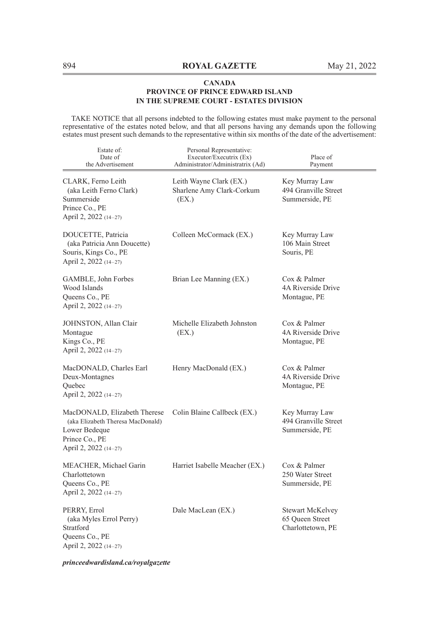TAKE NOTICE that all persons indebted to the following estates must make payment to the personal representative of the estates noted below, and that all persons having any demands upon the following estates must present such demands to the representative within six months of the date of the advertisement:

| Estate of:<br>Date of<br>the Advertisement                                                                                    | Personal Representative:<br>Executor/Executrix (Ex)<br>Administrator/Administratrix (Ad) | Place of<br>Payment                                      |
|-------------------------------------------------------------------------------------------------------------------------------|------------------------------------------------------------------------------------------|----------------------------------------------------------|
| CLARK, Ferno Leith<br>(aka Leith Ferno Clark)<br>Summerside<br>Prince Co., PE<br>April 2, 2022 (14-27)                        | Leith Wayne Clark (EX.)<br>Sharlene Amy Clark-Corkum<br>(EX.)                            | Key Murray Law<br>494 Granville Street<br>Summerside, PE |
| DOUCETTE, Patricia<br>(aka Patricia Ann Doucette)<br>Souris, Kings Co., PE<br>April 2, 2022 (14-27)                           | Colleen McCormack (EX.)                                                                  | Key Murray Law<br>106 Main Street<br>Souris, PE          |
| GAMBLE, John Forbes<br>Wood Islands<br>Queens Co., PE<br>April 2, 2022 (14–27)                                                | Brian Lee Manning (EX.)                                                                  | Cox & Palmer<br>4A Riverside Drive<br>Montague, PE       |
| JOHNSTON, Allan Clair<br>Montague<br>Kings Co., PE<br>April 2, 2022 (14-27)                                                   | Michelle Elizabeth Johnston<br>(EX.)                                                     | Cox & Palmer<br>4A Riverside Drive<br>Montague, PE       |
| MacDONALD, Charles Earl<br>Deux-Montagnes<br>Quebec<br>April 2, 2022 (14–27)                                                  | Henry MacDonald (EX.)                                                                    | Cox & Palmer<br>4A Riverside Drive<br>Montague, PE       |
| MacDONALD, Elizabeth Therese<br>(aka Elizabeth Theresa MacDonald)<br>Lower Bedeque<br>Prince Co., PE<br>April 2, 2022 (14-27) | Colin Blaine Callbeck (EX.)                                                              | Key Murray Law<br>494 Granville Street<br>Summerside, PE |
| MEACHER, Michael Garin<br>Charlottetown<br>Queens Co., PE<br>April 2, 2022 (14-27)                                            | Harriet Isabelle Meacher (EX.)                                                           | Cox & Palmer<br>250 Water Street<br>Summerside, PE       |
| PERRY, Errol<br>(aka Myles Errol Perry)<br>Stratford<br>Queens Co., PE<br>April 2, 2022 (14-27)                               | Dale MacLean (EX.)                                                                       | Stewart McKelvey<br>65 Oueen Street<br>Charlottetown, PE |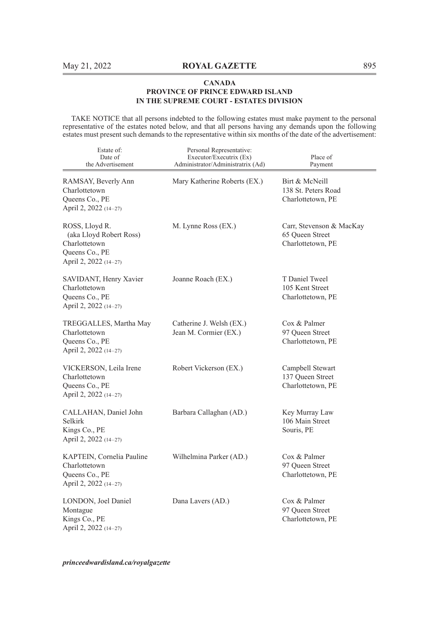TAKE NOTICE that all persons indebted to the following estates must make payment to the personal representative of the estates noted below, and that all persons having any demands upon the following estates must present such demands to the representative within six months of the date of the advertisement:

| Estate of:<br>Date of<br>the Advertisement                                                            | Personal Representative:<br>Executor/Executrix (Ex)<br>Administrator/Administratrix (Ad) | Place of<br>Payment                                              |
|-------------------------------------------------------------------------------------------------------|------------------------------------------------------------------------------------------|------------------------------------------------------------------|
| RAMSAY, Beverly Ann<br>Charlottetown<br>Queens Co., PE<br>April 2, 2022 (14-27)                       | Mary Katherine Roberts (EX.)                                                             | Birt & McNeill<br>138 St. Peters Road<br>Charlottetown, PE       |
| ROSS, Lloyd R.<br>(aka Lloyd Robert Ross)<br>Charlottetown<br>Queens Co., PE<br>April 2, 2022 (14-27) | M. Lynne Ross (EX.)                                                                      | Carr, Stevenson & MacKay<br>65 Queen Street<br>Charlottetown, PE |
| SAVIDANT, Henry Xavier<br>Charlottetown<br>Queens Co., PE<br>April 2, 2022 (14-27)                    | Joanne Roach (EX.)                                                                       | T Daniel Tweel<br>105 Kent Street<br>Charlottetown, PE           |
| TREGGALLES, Martha May<br>Charlottetown<br>Queens Co., PE<br>April 2, 2022 (14-27)                    | Catherine J. Welsh (EX.)<br>Jean M. Cormier (EX.)                                        | Cox & Palmer<br>97 Queen Street<br>Charlottetown, PE             |
| VICKERSON, Leila Irene<br>Charlottetown<br>Queens Co., PE<br>April 2, 2022 (14-27)                    | Robert Vickerson (EX.)                                                                   | Campbell Stewart<br>137 Queen Street<br>Charlottetown, PE        |
| CALLAHAN, Daniel John<br>Selkirk<br>Kings Co., PE<br>April 2, 2022 (14-27)                            | Barbara Callaghan (AD.)                                                                  | Key Murray Law<br>106 Main Street<br>Souris, PE                  |
| KAPTEIN, Cornelia Pauline<br>Charlottetown<br>Queens Co., PE<br>April 2, 2022 (14-27)                 | Wilhelmina Parker (AD.)                                                                  | Cox & Palmer<br>97 Queen Street<br>Charlottetown, PE             |
| LONDON, Joel Daniel<br>Montague<br>Kings Co., PE<br>April 2, 2022 (14-27)                             | Dana Lavers (AD.)                                                                        | Cox & Palmer<br>97 Queen Street<br>Charlottetown, PE             |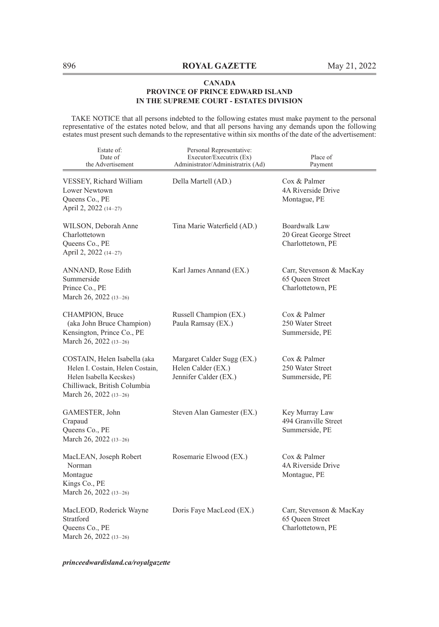TAKE NOTICE that all persons indebted to the following estates must make payment to the personal representative of the estates noted below, and that all persons having any demands upon the following estates must present such demands to the representative within six months of the date of the advertisement:

| Estate of:<br>Date of<br>the Advertisement                                                                                                            | Personal Representative:<br>Executor/Executrix (Ex)<br>Administrator/Administratrix (Ad) | Place of<br>Payment                                              |
|-------------------------------------------------------------------------------------------------------------------------------------------------------|------------------------------------------------------------------------------------------|------------------------------------------------------------------|
| VESSEY, Richard William<br>Lower Newtown<br>Queens Co., PE<br>April 2, 2022 (14-27)                                                                   | Della Martell (AD.)                                                                      | Cox & Palmer<br>4A Riverside Drive<br>Montague, PE               |
| WILSON, Deborah Anne<br>Charlottetown<br>Queens Co., PE<br>April 2, 2022 (14-27)                                                                      | Tina Marie Waterfield (AD.)                                                              | Boardwalk Law<br>20 Great George Street<br>Charlottetown, PE     |
| ANNAND, Rose Edith<br>Summerside<br>Prince Co., PE<br>March 26, 2022 (13-26)                                                                          | Karl James Annand (EX.)                                                                  | Carr, Stevenson & MacKay<br>65 Oueen Street<br>Charlottetown, PE |
| CHAMPION, Bruce<br>(aka John Bruce Champion)<br>Kensington, Prince Co., PE<br>March 26, 2022 (13-26)                                                  | Russell Champion (EX.)<br>Paula Ramsay (EX.)                                             | Cox & Palmer<br>250 Water Street<br>Summerside, PE               |
| COSTAIN, Helen Isabella (aka<br>Helen I. Costain, Helen Costain,<br>Helen Isabella Kecskes)<br>Chilliwack, British Columbia<br>March 26, 2022 (13-26) | Margaret Calder Sugg (EX.)<br>Helen Calder (EX.)<br>Jennifer Calder (EX.)                | Cox & Palmer<br>250 Water Street<br>Summerside, PE               |
| GAMESTER, John<br>Crapaud<br>Queens Co., PE<br>March 26, 2022 (13-26)                                                                                 | Steven Alan Gamester (EX.)                                                               | Key Murray Law<br>494 Granville Street<br>Summerside, PE         |
| MacLEAN, Joseph Robert<br>Norman<br>Montague<br>Kings Co., PE<br>March 26, 2022 (13-26)                                                               | Rosemarie Elwood (EX.)                                                                   | Cox & Palmer<br>4A Riverside Drive<br>Montague, PE               |
| MacLEOD, Roderick Wayne<br>Stratford<br>Queens Co., PE<br>March 26, 2022 (13-26)                                                                      | Doris Faye MacLeod (EX.)                                                                 | Carr, Stevenson & MacKay<br>65 Oueen Street<br>Charlottetown, PE |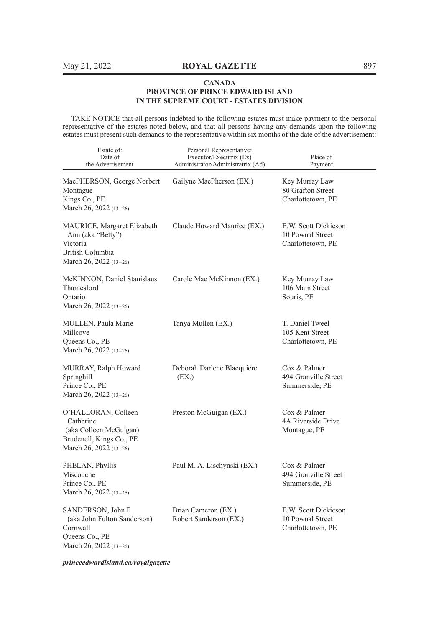TAKE NOTICE that all persons indebted to the following estates must make payment to the personal representative of the estates noted below, and that all persons having any demands upon the following estates must present such demands to the representative within six months of the date of the advertisement:

| Estate of:<br>Date of<br>the Advertisement                                                                       | Personal Representative:<br>Executor/Executrix (Ex)<br>Administrator/Administratrix (Ad) | Place of<br>Payment                                           |
|------------------------------------------------------------------------------------------------------------------|------------------------------------------------------------------------------------------|---------------------------------------------------------------|
| MacPHERSON, George Norbert<br>Montague<br>Kings Co., PE<br>March 26, 2022 (13-26)                                | Gailyne MacPherson (EX.)                                                                 | Key Murray Law<br>80 Grafton Street<br>Charlottetown, PE      |
| MAURICE, Margaret Elizabeth<br>Ann (aka "Betty")<br>Victoria<br>British Columbia<br>March 26, 2022 (13-26)       | Claude Howard Maurice (EX.)                                                              | E.W. Scott Dickieson<br>10 Pownal Street<br>Charlottetown, PE |
| McKINNON, Daniel Stanislaus<br>Thamesford<br>Ontario<br>March 26, 2022 $(13-26)$                                 | Carole Mae McKinnon (EX.)                                                                | Key Murray Law<br>106 Main Street<br>Souris, PE               |
| MULLEN, Paula Marie<br>Millcove<br>Queens Co., PE<br>March 26, 2022 (13-26)                                      | Tanya Mullen (EX.)                                                                       | T. Daniel Tweel<br>105 Kent Street<br>Charlottetown, PE       |
| MURRAY, Ralph Howard<br>Springhill<br>Prince Co., PE<br>March 26, 2022 (13-26)                                   | Deborah Darlene Blacquiere<br>(EX.)                                                      | Cox & Palmer<br>494 Granville Street<br>Summerside, PE        |
| O'HALLORAN, Colleen<br>Catherine<br>(aka Colleen McGuigan)<br>Brudenell, Kings Co., PE<br>March 26, 2022 (13-26) | Preston McGuigan (EX.)                                                                   | Cox & Palmer<br>4A Riverside Drive<br>Montague, PE            |
| PHELAN, Phyllis<br>Miscouche<br>Prince Co., PE<br>March 26, 2022 (13-26)                                         | Paul M. A. Lischynski (EX.)                                                              | Cox & Palmer<br>494 Granville Street<br>Summerside, PE        |
| SANDERSON, John F.<br>(aka John Fulton Sanderson)<br>Cornwall<br>Queens Co., PE<br>March 26, 2022 (13-26)        | Brian Cameron (EX.)<br>Robert Sanderson (EX.)                                            | E.W. Scott Dickieson<br>10 Pownal Street<br>Charlottetown, PE |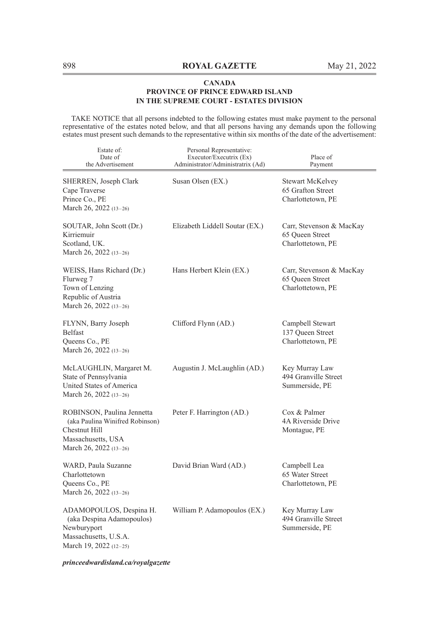TAKE NOTICE that all persons indebted to the following estates must make payment to the personal representative of the estates noted below, and that all persons having any demands upon the following estates must present such demands to the representative within six months of the date of the advertisement:

| Estate of:<br>Date of<br>the Advertisement                                                                                     | Personal Representative:<br>Executor/Executrix (Ex)<br>Administrator/Administratrix (Ad) | Place of<br>Payment                                              |
|--------------------------------------------------------------------------------------------------------------------------------|------------------------------------------------------------------------------------------|------------------------------------------------------------------|
| SHERREN, Joseph Clark<br>Cape Traverse<br>Prince Co., PE<br>March 26, 2022 (13-26)                                             | Susan Olsen (EX.)                                                                        | Stewart McKelvey<br>65 Grafton Street<br>Charlottetown, PE       |
| SOUTAR, John Scott (Dr.)<br>Kirriemuir<br>Scotland, UK.<br>March 26, 2022 $(13-26)$                                            | Elizabeth Liddell Soutar (EX.)                                                           | Carr, Stevenson & MacKay<br>65 Oueen Street<br>Charlottetown, PE |
| WEISS, Hans Richard (Dr.)<br>Flurweg 7<br>Town of Lenzing<br>Republic of Austria<br>March 26, 2022 (13-26)                     | Hans Herbert Klein (EX.)                                                                 | Carr, Stevenson & MacKay<br>65 Queen Street<br>Charlottetown, PE |
| FLYNN, Barry Joseph<br><b>Belfast</b><br>Queens Co., PE<br>March 26, 2022 (13-26)                                              | Clifford Flynn (AD.)                                                                     | Campbell Stewart<br>137 Queen Street<br>Charlottetown, PE        |
| McLAUGHLIN, Margaret M.<br>State of Pennsylvania<br>United States of America<br>March 26, 2022 (13-26)                         | Augustin J. McLaughlin (AD.)                                                             | Key Murray Law<br>494 Granville Street<br>Summerside, PE         |
| ROBINSON, Paulina Jennetta<br>(aka Paulina Winifred Robinson)<br>Chestnut Hill<br>Massachusetts, USA<br>March 26, 2022 (13-26) | Peter F. Harrington (AD.)                                                                | Cox & Palmer<br>4A Riverside Drive<br>Montague, PE               |
| WARD, Paula Suzanne<br>Charlottetown<br>Queens Co., PE<br>March 26, 2022 (13-26)                                               | David Brian Ward (AD.)                                                                   | Campbell Lea<br>65 Water Street<br>Charlottetown, PE             |
| ADAMOPOULOS, Despina H.<br>(aka Despina Adamopoulos)<br>Newburyport<br>Massachusetts, U.S.A.<br>March 19, 2022 $(12-25)$       | William P. Adamopoulos (EX.)                                                             | Key Murray Law<br>494 Granville Street<br>Summerside, PE         |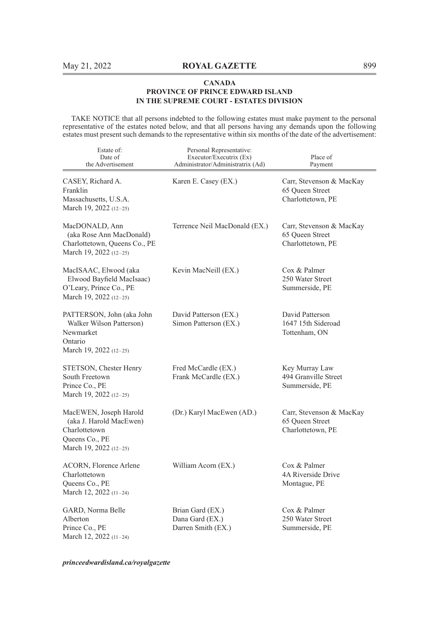TAKE NOTICE that all persons indebted to the following estates must make payment to the personal representative of the estates noted below, and that all persons having any demands upon the following estates must present such demands to the representative within six months of the date of the advertisement:

| Estate of:<br>Date of<br>the Advertisement                                                                     | Personal Representative:<br>Executor/Executrix (Ex)<br>Administrator/Administratrix (Ad) | Place of<br>Payment                                              |
|----------------------------------------------------------------------------------------------------------------|------------------------------------------------------------------------------------------|------------------------------------------------------------------|
| CASEY, Richard A.<br>Franklin<br>Massachusetts, U.S.A.<br>March 19, 2022 (12-25)                               | Karen E. Casey (EX.)                                                                     | Carr, Stevenson & MacKay<br>65 Queen Street<br>Charlottetown, PE |
| MacDONALD, Ann<br>(aka Rose Ann MacDonald)<br>Charlottetown, Queens Co., PE<br>March 19, 2022 (12-25)          | Terrence Neil MacDonald (EX.)                                                            | Carr, Stevenson & MacKay<br>65 Queen Street<br>Charlottetown, PE |
| MacISAAC, Elwood (aka<br>Elwood Bayfield MacIsaac)<br>O'Leary, Prince Co., PE<br>March 19, 2022 (12-25)        | Kevin MacNeill (EX.)                                                                     | Cox & Palmer<br>250 Water Street<br>Summerside, PE               |
| PATTERSON, John (aka John<br>Walker Wilson Patterson)<br>Newmarket<br>Ontario<br>March 19, 2022 (12-25)        | David Patterson (EX.)<br>Simon Patterson (EX.)                                           | David Patterson<br>1647 15th Sideroad<br>Tottenham, ON           |
| STETSON, Chester Henry<br>South Freetown<br>Prince Co., PE<br>March 19, 2022 (12-25)                           | Fred McCardle (EX.)<br>Frank McCardle (EX.)                                              | Key Murray Law<br>494 Granville Street<br>Summerside, PE         |
| MacEWEN, Joseph Harold<br>(aka J. Harold MacEwen)<br>Charlottetown<br>Queens Co., PE<br>March 19, 2022 (12–25) | (Dr.) Karyl MacEwen (AD.)                                                                | Carr, Stevenson & MacKay<br>65 Queen Street<br>Charlottetown, PE |
| <b>ACORN, Florence Arlene</b><br>Charlottetown<br>Queens Co., PE<br>March 12, 2022 (11-24)                     | William Acorn (EX.)                                                                      | Cox & Palmer<br>4A Riverside Drive<br>Montague, PE               |
| GARD, Norma Belle<br>Alberton<br>Prince Co., PE<br>March 12, 2022 (11-24)                                      | Brian Gard (EX.)<br>Dana Gard (EX.)<br>Darren Smith (EX.)                                | Cox & Palmer<br>250 Water Street<br>Summerside, PE               |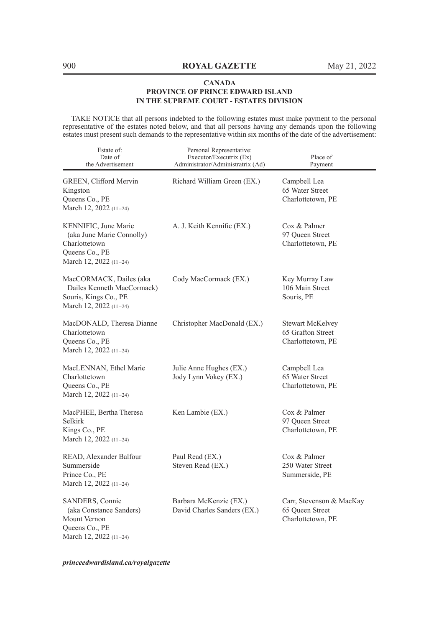TAKE NOTICE that all persons indebted to the following estates must make payment to the personal representative of the estates noted below, and that all persons having any demands upon the following estates must present such demands to the representative within six months of the date of the advertisement:

| Estate of:<br>Date of<br>the Advertisement                                                                     | Personal Representative:<br>Executor/Executrix (Ex)<br>Administrator/Administratrix (Ad) | Place of<br>Payment                                               |
|----------------------------------------------------------------------------------------------------------------|------------------------------------------------------------------------------------------|-------------------------------------------------------------------|
| GREEN, Clifford Mervin<br>Kingston<br>Queens Co., PE<br>March 12, 2022 (11-24)                                 | Richard William Green (EX.)                                                              | Campbell Lea<br>65 Water Street<br>Charlottetown, PE              |
| KENNIFIC, June Marie<br>(aka June Marie Connolly)<br>Charlottetown<br>Queens Co., PE<br>March 12, 2022 (11-24) | A. J. Keith Kennific (EX.)                                                               | Cox & Palmer<br>97 Queen Street<br>Charlottetown, PE              |
| MacCORMACK, Dailes (aka<br>Dailes Kenneth MacCormack)<br>Souris, Kings Co., PE<br>March 12, 2022 (11-24)       | Cody MacCormack (EX.)                                                                    | Key Murray Law<br>106 Main Street<br>Souris, PE                   |
| MacDONALD, Theresa Dianne<br>Charlottetown<br>Queens Co., PE<br>March 12, 2022 (11-24)                         | Christopher MacDonald (EX.)                                                              | <b>Stewart McKelvey</b><br>65 Grafton Street<br>Charlottetown, PE |
| MacLENNAN, Ethel Marie<br>Charlottetown<br>Queens Co., PE<br>March 12, 2022 (11-24)                            | Julie Anne Hughes (EX.)<br>Jody Lynn Vokey (EX.)                                         | Campbell Lea<br>65 Water Street<br>Charlottetown, PE              |
| MacPHEE, Bertha Theresa<br>Selkirk<br>Kings Co., PE<br>March 12, 2022 (11-24)                                  | Ken Lambie (EX.)                                                                         | Cox & Palmer<br>97 Queen Street<br>Charlottetown, PE              |
| READ, Alexander Balfour<br>Summerside<br>Prince Co., PE<br>March 12, 2022 (11-24)                              | Paul Read (EX.)<br>Steven Read (EX.)                                                     | Cox & Palmer<br>250 Water Street<br>Summerside, PE                |
| SANDERS, Connie<br>(aka Constance Sanders)<br>Mount Vernon<br>Queens Co., PE<br>March 12, 2022 (11-24)         | Barbara McKenzie (EX.)<br>David Charles Sanders (EX.)                                    | Carr, Stevenson & MacKay<br>65 Queen Street<br>Charlottetown, PE  |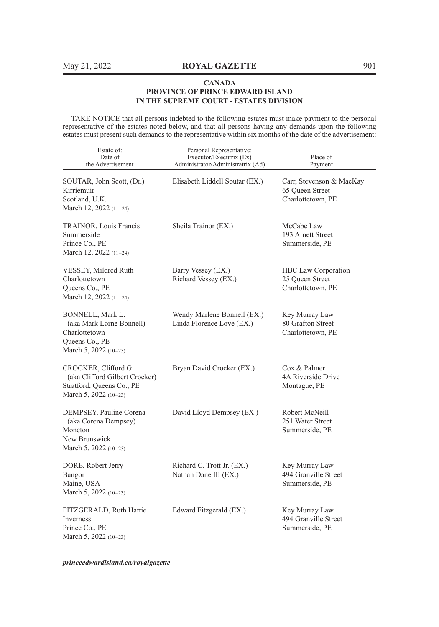TAKE NOTICE that all persons indebted to the following estates must make payment to the personal representative of the estates noted below, and that all persons having any demands upon the following estates must present such demands to the representative within six months of the date of the advertisement:

| Estate of:<br>Date of<br>the Advertisement                                                                   | Personal Representative:<br>Executor/Executrix (Ex)<br>Administrator/Administratrix (Ad) | Place of<br>Payment                                                |
|--------------------------------------------------------------------------------------------------------------|------------------------------------------------------------------------------------------|--------------------------------------------------------------------|
| SOUTAR, John Scott, (Dr.)<br>Kirriemuir<br>Scotland, U.K.<br>March 12, 2022 (11-24)                          | Elisabeth Liddell Soutar (EX.)                                                           | Carr, Stevenson & MacKay<br>65 Queen Street<br>Charlottetown, PE   |
| TRAINOR, Louis Francis<br>Summerside<br>Prince Co., PE<br>March 12, 2022 (11-24)                             | Sheila Trainor (EX.)                                                                     | McCabe Law<br>193 Arnett Street<br>Summerside, PE                  |
| VESSEY, Mildred Ruth<br>Charlottetown<br>Queens Co., PE<br>March 12, 2022 (11-24)                            | Barry Vessey (EX.)<br>Richard Vessey (EX.)                                               | <b>HBC</b> Law Corporation<br>25 Queen Street<br>Charlottetown, PE |
| BONNELL, Mark L.<br>(aka Mark Lorne Bonnell)<br>Charlottetown<br>Queens Co., PE<br>March 5, 2022 (10-23)     | Wendy Marlene Bonnell (EX.)<br>Linda Florence Love (EX.)                                 | Key Murray Law<br>80 Grafton Street<br>Charlottetown, PE           |
| CROCKER, Clifford G.<br>(aka Clifford Gilbert Crocker)<br>Stratford, Queens Co., PE<br>March 5, 2022 (10-23) | Bryan David Crocker (EX.)                                                                | Cox & Palmer<br>4A Riverside Drive<br>Montague, PE                 |
| DEMPSEY, Pauline Corena<br>(aka Corena Dempsey)<br>Moncton<br>New Brunswick<br>March 5, 2022 (10-23)         | David Lloyd Dempsey (EX.)                                                                | Robert McNeill<br>251 Water Street<br>Summerside, PE               |
| DORE, Robert Jerry<br>Bangor<br>Maine, USA<br>March 5, 2022 $(10-23)$                                        | Richard C. Trott Jr. (EX.)<br>Nathan Dane III (EX.)                                      | Key Murray Law<br>494 Granville Street<br>Summerside, PE           |
| FITZGERALD, Ruth Hattie<br>Inverness<br>Prince Co., PE<br>March 5, 2022 (10-23)                              | Edward Fitzgerald (EX.)                                                                  | Key Murray Law<br>494 Granville Street<br>Summerside, PE           |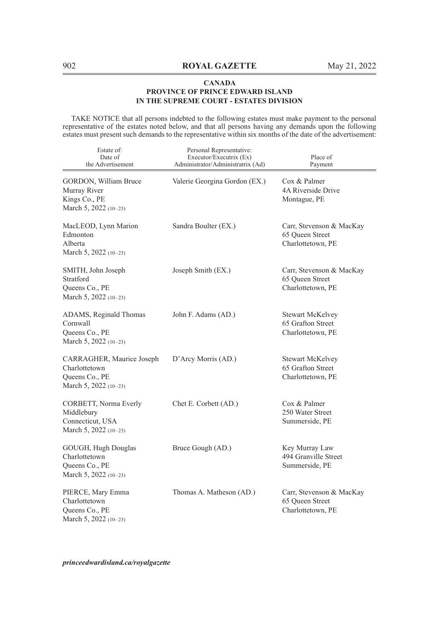TAKE NOTICE that all persons indebted to the following estates must make payment to the personal representative of the estates noted below, and that all persons having any demands upon the following estates must present such demands to the representative within six months of the date of the advertisement:

| Estate of:<br>Date of<br>the Advertisement                                            | Personal Representative:<br>Executor/Executrix (Ex)<br>Administrator/Administratrix (Ad) | Place of<br>Payment                                              |
|---------------------------------------------------------------------------------------|------------------------------------------------------------------------------------------|------------------------------------------------------------------|
| GORDON, William Bruce<br>Murray River<br>Kings Co., PE<br>March 5, 2022 (10-23)       | Valerie Georgina Gordon (EX.)                                                            | Cox & Palmer<br>4A Riverside Drive<br>Montague, PE               |
| MacLEOD, Lynn Marion<br>Edmonton<br>Alberta<br>March 5, 2022 (10-23)                  | Sandra Boulter (EX.)                                                                     | Carr, Stevenson & MacKay<br>65 Queen Street<br>Charlottetown, PE |
| SMITH, John Joseph<br>Stratford<br>Queens Co., PE<br>March 5, 2022 (10-23)            | Joseph Smith (EX.)                                                                       | Carr, Stevenson & MacKay<br>65 Queen Street<br>Charlottetown, PE |
| ADAMS, Reginald Thomas<br>Cornwall<br>Queens Co., PE<br>March 5, 2022 (10-23)         | John F. Adams (AD.)                                                                      | Stewart McKelvey<br>65 Grafton Street<br>Charlottetown, PE       |
| CARRAGHER, Maurice Joseph<br>Charlottetown<br>Queens Co., PE<br>March 5, 2022 (10-23) | D'Arcy Morris (AD.)                                                                      | Stewart McKelvey<br>65 Grafton Street<br>Charlottetown, PE       |
| CORBETT, Norma Everly<br>Middlebury<br>Connecticut, USA<br>March 5, 2022 (10-23)      | Chet E. Corbett (AD.)                                                                    | Cox & Palmer<br>250 Water Street<br>Summerside, PE               |
| GOUGH, Hugh Douglas<br>Charlottetown<br>Queens Co., PE<br>March 5, 2022 (10-23)       | Bruce Gough (AD.)                                                                        | Key Murray Law<br>494 Granville Street<br>Summerside, PE         |
| PIERCE, Mary Emma<br>Charlottetown<br>Queens Co., PE<br>March 5, 2022 (10-23)         | Thomas A. Matheson (AD.)                                                                 | Carr, Stevenson & MacKay<br>65 Oueen Street<br>Charlottetown, PE |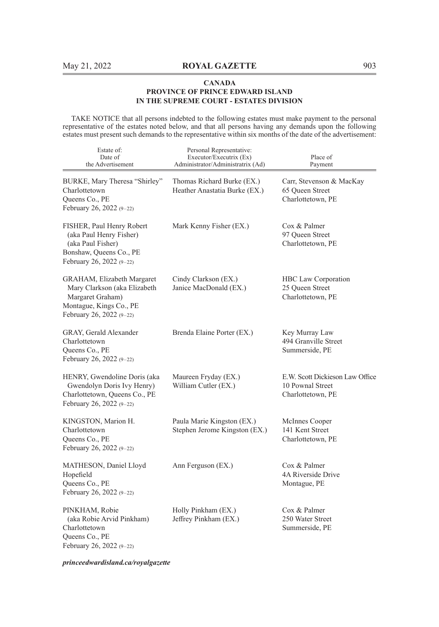TAKE NOTICE that all persons indebted to the following estates must make payment to the personal representative of the estates noted below, and that all persons having any demands upon the following estates must present such demands to the representative within six months of the date of the advertisement:

| Estate of:<br>Date of<br>the Advertisement                                                                                            | Personal Representative:<br>Executor/Executrix (Ex)<br>Administrator/Administratrix (Ad) | Place of<br>Payment                                                      |
|---------------------------------------------------------------------------------------------------------------------------------------|------------------------------------------------------------------------------------------|--------------------------------------------------------------------------|
| BURKE, Mary Theresa "Shirley"<br>Charlottetown<br>Queens Co., PE<br>February 26, 2022 (9-22)                                          | Thomas Richard Burke (EX.)<br>Heather Anastatia Burke (EX.)                              | Carr, Stevenson & MacKay<br>65 Queen Street<br>Charlottetown, PE         |
| FISHER, Paul Henry Robert<br>(aka Paul Henry Fisher)<br>(aka Paul Fisher)<br>Bonshaw, Queens Co., PE<br>February 26, 2022 (9-22)      | Mark Kenny Fisher (EX.)                                                                  | Cox & Palmer<br>97 Oueen Street<br>Charlottetown, PE                     |
| GRAHAM, Elizabeth Margaret<br>Mary Clarkson (aka Elizabeth<br>Margaret Graham)<br>Montague, Kings Co., PE<br>February 26, 2022 (9-22) | Cindy Clarkson (EX.)<br>Janice MacDonald (EX.)                                           | HBC Law Corporation<br>25 Queen Street<br>Charlottetown, PE              |
| GRAY, Gerald Alexander<br>Charlottetown<br>Queens Co., PE<br>February 26, 2022 (9-22)                                                 | Brenda Elaine Porter (EX.)                                                               | Key Murray Law<br>494 Granville Street<br>Summerside, PE                 |
| HENRY, Gwendoline Doris (aka<br>Gwendolyn Doris Ivy Henry)<br>Charlottetown, Queens Co., PE<br>February 26, 2022 (9-22)               | Maureen Fryday (EX.)<br>William Cutler (EX.)                                             | E.W. Scott Dickieson Law Office<br>10 Pownal Street<br>Charlottetown, PE |
| KINGSTON, Marion H.<br>Charlottetown<br>Queens Co., PE<br>February 26, 2022 (9-22)                                                    | Paula Marie Kingston (EX.)<br>Stephen Jerome Kingston (EX.)                              | McInnes Cooper<br>141 Kent Street<br>Charlottetown, PE                   |
| MATHESON, Daniel Lloyd<br>Hopefield<br>Queens Co., PE<br>February 26, 2022 (9-22)                                                     | Ann Ferguson (EX.)                                                                       | Cox & Palmer<br>4A Riverside Drive<br>Montague, PE                       |
| PINKHAM, Robie<br>(aka Robie Arvid Pinkham)<br>Charlottetown<br>Queens Co., PE<br>February 26, 2022 (9-22)                            | Holly Pinkham (EX.)<br>Jeffrey Pinkham (EX.)                                             | Cox & Palmer<br>250 Water Street<br>Summerside, PE                       |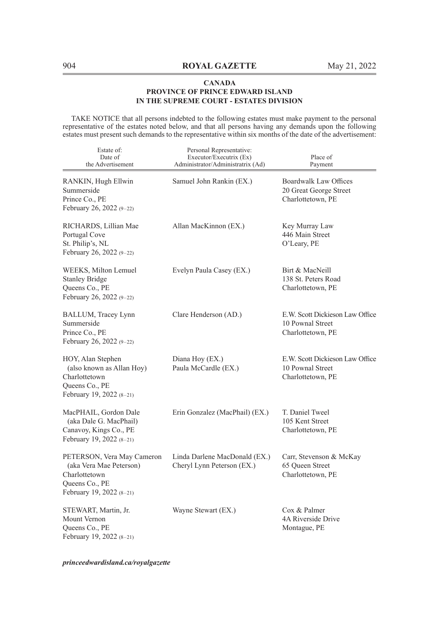TAKE NOTICE that all persons indebted to the following estates must make payment to the personal representative of the estates noted below, and that all persons having any demands upon the following estates must present such demands to the representative within six months of the date of the advertisement:

| Estate of:<br>Date of<br>the Advertisement                                                                             | Personal Representative:<br>Executor/Executrix (Ex)<br>Administrator/Administratrix (Ad) | Place of<br>Payment                                                         |
|------------------------------------------------------------------------------------------------------------------------|------------------------------------------------------------------------------------------|-----------------------------------------------------------------------------|
| RANKIN, Hugh Ellwin<br>Summerside<br>Prince Co., PE<br>February 26, 2022 (9-22)                                        | Samuel John Rankin (EX.)                                                                 | <b>Boardwalk Law Offices</b><br>20 Great George Street<br>Charlottetown, PE |
| RICHARDS, Lillian Mae<br>Portugal Cove<br>St. Philip's, NL<br>February 26, 2022 (9-22)                                 | Allan MacKinnon (EX.)                                                                    | Key Murray Law<br>446 Main Street<br>O'Leary, PE                            |
| WEEKS, Milton Lemuel<br><b>Stanley Bridge</b><br>Queens Co., PE<br>February 26, 2022 (9-22)                            | Evelyn Paula Casey (EX.)                                                                 | Birt & MacNeill<br>138 St. Peters Road<br>Charlottetown, PE                 |
| BALLUM, Tracey Lynn<br>Summerside<br>Prince Co., PE<br>February 26, 2022 (9-22)                                        | Clare Henderson (AD.)                                                                    | E.W. Scott Dickieson Law Office<br>10 Pownal Street<br>Charlottetown, PE    |
| HOY, Alan Stephen<br>(also known as Allan Hoy)<br>Charlottetown<br>Queens Co., PE<br>February 19, 2022 (8-21)          | Diana Hoy (EX.)<br>Paula McCardle (EX.)                                                  | E.W. Scott Dickieson Law Office<br>10 Pownal Street<br>Charlottetown, PE    |
| MacPHAIL, Gordon Dale<br>(aka Dale G. MacPhail)<br>Canavoy, Kings Co., PE<br>February 19, 2022 (8-21)                  | Erin Gonzalez (MacPhail) (EX.)                                                           | T. Daniel Tweel<br>105 Kent Street<br>Charlottetown, PE                     |
| PETERSON, Vera May Cameron<br>(aka Vera Mae Peterson)<br>Charlottetown<br>Queens Co., PE<br>February 19, 2022 $(8-21)$ | Linda Darlene MacDonald (EX.)<br>Cheryl Lynn Peterson (EX.)                              | Carr, Stevenson & McKay<br>65 Queen Street<br>Charlottetown, PE             |
| STEWART, Martin, Jr.<br>Mount Vernon<br>Queens Co., PE<br>February 19, 2022 (8-21)                                     | Wayne Stewart (EX.)                                                                      | Cox & Palmer<br>4A Riverside Drive<br>Montague, PE                          |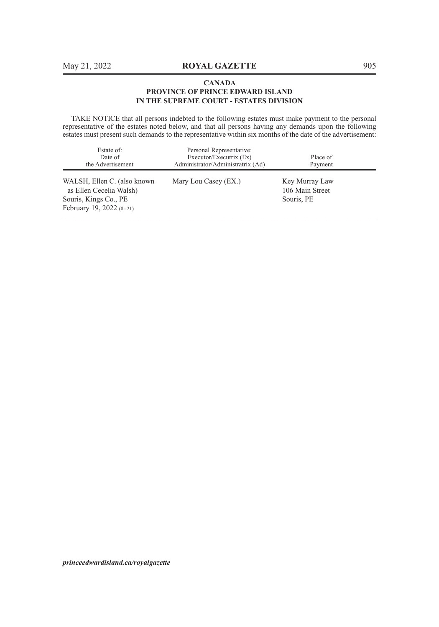TAKE NOTICE that all persons indebted to the following estates must make payment to the personal representative of the estates noted below, and that all persons having any demands upon the following estates must present such demands to the representative within six months of the date of the advertisement:

| Estate of:<br>Date of<br>the Advertisement                                                                    | Personal Representative:<br>Executor/Executrix (Ex)<br>Administrator/Administratrix (Ad) | Place of<br>Payment                             |
|---------------------------------------------------------------------------------------------------------------|------------------------------------------------------------------------------------------|-------------------------------------------------|
| WALSH, Ellen C. (also known<br>as Ellen Cecelia Walsh)<br>Souris, Kings Co., PE<br>February 19, 2022 $(8-21)$ | Mary Lou Casey (EX.)                                                                     | Key Murray Law<br>106 Main Street<br>Souris, PE |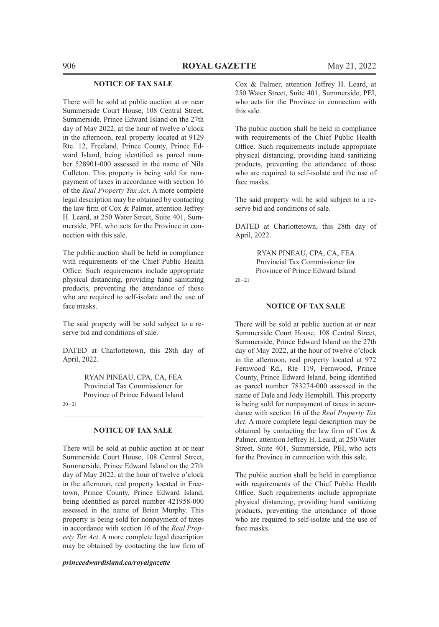#### **NOTICE OF TAX SALE**

There will be sold at public auction at or near Summerside Court House, 108 Central Street, Summerside, Prince Edward Island on the 27th day of May 2022, at the hour of twelve o'clock in the afternoon, real property located at 9129 Rte. 12, Freeland, Prince County, Prince Edward Island, being identified as parcel number 528901-000 assessed in the name of Nila Culleton. This property is being sold for nonpayment of taxes in accordance with section 16 of the *Real Property Tax Act*. A more complete legal description may be obtained by contacting the law firm of Cox & Palmer, attention Jeffrey H. Leard, at 250 Water Street, Suite 401, Summerside, PEI, who acts for the Province in connection with this sale.

The public auction shall be held in compliance with requirements of the Chief Public Health Office. Such requirements include appropriate physical distancing, providing hand sanitizing products, preventing the attendance of those who are required to self-isolate and the use of face masks.

The said property will be sold subject to a reserve bid and conditions of sale.

DATED at Charlottetown, this 28th day of April, 2022.

> RYAN PINEAU, CPA, CA, FEA Provincial Tax Commissioner for Province of Prince Edward Island

 $20 - 21$ 

#### **NOTICE OF TAX SALE**

There will be sold at public auction at or near Summerside Court House, 108 Central Street, Summerside, Prince Edward Island on the 27th day of May 2022, at the hour of twelve o'clock in the afternoon, real property located in Freetown, Prince County, Prince Edward Island, being identified as parcel number 421958-000 assessed in the name of Brian Murphy. This property is being sold for nonpayment of taxes in accordance with section 16 of the *Real Property Tax Act*. A more complete legal description may be obtained by contacting the law firm of

*princeedwardisland.ca/royalgazette*

Cox & Palmer, attention Jeffrey H. Leard, at 250 Water Street, Suite 401, Summerside, PEI, who acts for the Province in connection with this sale.

The public auction shall be held in compliance with requirements of the Chief Public Health Office. Such requirements include appropriate physical distancing, providing hand sanitizing products, preventing the attendance of those who are required to self-isolate and the use of face masks.

The said property will be sold subject to a reserve bid and conditions of sale.

DATED at Charlottetown, this 28th day of April, 2022.

> RYAN PINEAU, CPA, CA, FEA Provincial Tax Commissioner for Province of Prince Edward Island

20–21

#### **NOTICE OF TAX SALE**

 $\mathcal{L}_\text{max} = \mathcal{L}_\text{max} = \mathcal{L}_\text{max} = \mathcal{L}_\text{max} = \mathcal{L}_\text{max} = \mathcal{L}_\text{max} = \mathcal{L}_\text{max} = \mathcal{L}_\text{max} = \mathcal{L}_\text{max} = \mathcal{L}_\text{max} = \mathcal{L}_\text{max} = \mathcal{L}_\text{max} = \mathcal{L}_\text{max} = \mathcal{L}_\text{max} = \mathcal{L}_\text{max} = \mathcal{L}_\text{max} = \mathcal{L}_\text{max} = \mathcal{L}_\text{max} = \mathcal{$ 

There will be sold at public auction at or near Summerside Court House, 108 Central Street, Summerside, Prince Edward Island on the 27th day of May 2022, at the hour of twelve o'clock in the afternoon, real property located at 972 Fernwood Rd., Rte 119, Fernwood, Prince County, Prince Edward Island, being identified as parcel number 783274-000 assessed in the name of Dale and Jody Hemphill. This property is being sold for nonpayment of taxes in accordance with section 16 of the *Real Property Tax Act*. A more complete legal description may be obtained by contacting the law firm of Cox & Palmer, attention Jeffrey H. Leard, at 250 Water Street, Suite 401, Summerside, PEI, who acts for the Province in connection with this sale.

The public auction shall be held in compliance with requirements of the Chief Public Health Office. Such requirements include appropriate physical distancing, providing hand sanitizing products, preventing the attendance of those who are required to self-isolate and the use of face masks.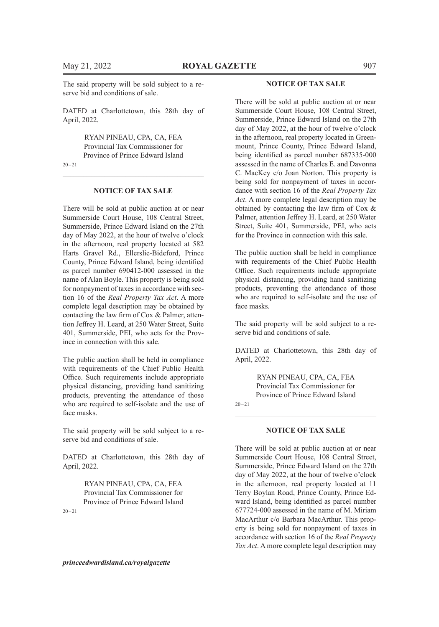The said property will be sold subject to a reserve bid and conditions of sale.

DATED at Charlottetown, this 28th day of April, 2022.

> RYAN PINEAU, CPA, CA, FEA Provincial Tax Commissioner for Province of Prince Edward Island

 $20 - 21$ 

#### **NOTICE OF TAX SALE**

There will be sold at public auction at or near Summerside Court House, 108 Central Street, Summerside, Prince Edward Island on the 27th day of May 2022, at the hour of twelve o'clock in the afternoon, real property located at 582 Harts Gravel Rd., Ellerslie-Bideford, Prince County, Prince Edward Island, being identified as parcel number 690412-000 assessed in the name of Alan Boyle. This property is being sold for nonpayment of taxes in accordance with section 16 of the *Real Property Tax Act*. A more complete legal description may be obtained by contacting the law firm of Cox & Palmer, attention Jeffrey H. Leard, at 250 Water Street, Suite 401, Summerside, PEI, who acts for the Province in connection with this sale.

The public auction shall be held in compliance with requirements of the Chief Public Health Office. Such requirements include appropriate physical distancing, providing hand sanitizing products, preventing the attendance of those who are required to self-isolate and the use of face masks.

The said property will be sold subject to a reserve bid and conditions of sale.

DATED at Charlottetown, this 28th day of April, 2022.

> RYAN PINEAU, CPA, CA, FEA Provincial Tax Commissioner for Province of Prince Edward Island

 $20 - 21$ 

#### *princeedwardisland.ca/royalgazette*

#### **NOTICE OF TAX SALE**

There will be sold at public auction at or near Summerside Court House, 108 Central Street, Summerside, Prince Edward Island on the 27th day of May 2022, at the hour of twelve o'clock in the afternoon, real property located in Greenmount, Prince County, Prince Edward Island, being identified as parcel number 687335-000 assessed in the name of Charles E. and Davonna C. MacKey c/o Joan Norton. This property is being sold for nonpayment of taxes in accordance with section 16 of the *Real Property Tax Act*. A more complete legal description may be obtained by contacting the law firm of Cox & Palmer, attention Jeffrey H. Leard, at 250 Water Street, Suite 401, Summerside, PEI, who acts for the Province in connection with this sale.

The public auction shall be held in compliance with requirements of the Chief Public Health Office. Such requirements include appropriate physical distancing, providing hand sanitizing products, preventing the attendance of those who are required to self-isolate and the use of face masks.

The said property will be sold subject to a reserve bid and conditions of sale.

DATED at Charlottetown, this 28th day of April, 2022.

> RYAN PINEAU, CPA, CA, FEA Provincial Tax Commissioner for Province of Prince Edward Island

 $20 - 21$ 

#### **NOTICE OF TAX SALE**

There will be sold at public auction at or near Summerside Court House, 108 Central Street, Summerside, Prince Edward Island on the 27th day of May 2022, at the hour of twelve o'clock in the afternoon, real property located at 11 Terry Boylan Road, Prince County, Prince Edward Island, being identified as parcel number 677724-000 assessed in the name of M. Miriam MacArthur c/o Barbara MacArthur. This property is being sold for nonpayment of taxes in accordance with section 16 of the *Real Property Tax Act*. A more complete legal description may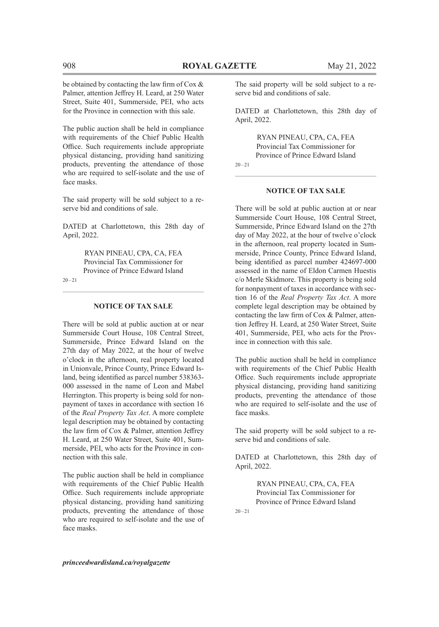be obtained by contacting the law firm of Cox & Palmer, attention Jeffrey H. Leard, at 250 Water Street, Suite 401, Summerside, PEI, who acts for the Province in connection with this sale.

The public auction shall be held in compliance with requirements of the Chief Public Health Office. Such requirements include appropriate physical distancing, providing hand sanitizing products, preventing the attendance of those who are required to self-isolate and the use of face masks.

The said property will be sold subject to a reserve bid and conditions of sale.

DATED at Charlottetown, this 28th day of April, 2022.

> RYAN PINEAU, CPA, CA, FEA Provincial Tax Commissioner for Province of Prince Edward Island

20–21

# $\mathcal{L}_\text{max} = \mathcal{L}_\text{max} = \mathcal{L}_\text{max} = \mathcal{L}_\text{max} = \mathcal{L}_\text{max} = \mathcal{L}_\text{max} = \mathcal{L}_\text{max} = \mathcal{L}_\text{max} = \mathcal{L}_\text{max} = \mathcal{L}_\text{max} = \mathcal{L}_\text{max} = \mathcal{L}_\text{max} = \mathcal{L}_\text{max} = \mathcal{L}_\text{max} = \mathcal{L}_\text{max} = \mathcal{L}_\text{max} = \mathcal{L}_\text{max} = \mathcal{L}_\text{max} = \mathcal{$ **NOTICE OF TAX SALE**

There will be sold at public auction at or near Summerside Court House, 108 Central Street, Summerside, Prince Edward Island on the 27th day of May 2022, at the hour of twelve o'clock in the afternoon, real property located in Unionvale, Prince County, Prince Edward Island, being identified as parcel number 538363- 000 assessed in the name of Leon and Mabel Herrington. This property is being sold for nonpayment of taxes in accordance with section 16 of the *Real Property Tax Act*. A more complete legal description may be obtained by contacting the law firm of Cox & Palmer, attention Jeffrey H. Leard, at 250 Water Street, Suite 401, Summerside, PEI, who acts for the Province in connection with this sale.

The public auction shall be held in compliance with requirements of the Chief Public Health Office. Such requirements include appropriate physical distancing, providing hand sanitizing products, preventing the attendance of those who are required to self-isolate and the use of face masks.

The said property will be sold subject to a reserve bid and conditions of sale.

DATED at Charlottetown, this 28th day of April, 2022.

RYAN PINEAU, CPA, CA, FEA Provincial Tax Commissioner for Province of Prince Edward Island  $20 - 21$ 

**NOTICE OF TAX SALE**

There will be sold at public auction at or near Summerside Court House, 108 Central Street, Summerside, Prince Edward Island on the 27th day of May 2022, at the hour of twelve o'clock in the afternoon, real property located in Summerside, Prince County, Prince Edward Island, being identified as parcel number 424697-000 assessed in the name of Eldon Carmen Huestis c/o Merle Skidmore. This property is being sold for nonpayment of taxes in accordance with section 16 of the *Real Property Tax Act*. A more complete legal description may be obtained by contacting the law firm of Cox & Palmer, attention Jeffrey H. Leard, at 250 Water Street, Suite 401, Summerside, PEI, who acts for the Province in connection with this sale.

The public auction shall be held in compliance with requirements of the Chief Public Health Office. Such requirements include appropriate physical distancing, providing hand sanitizing products, preventing the attendance of those who are required to self-isolate and the use of face masks.

The said property will be sold subject to a reserve bid and conditions of sale.

DATED at Charlottetown, this 28th day of April, 2022.

> RYAN PINEAU, CPA, CA, FEA Provincial Tax Commissioner for Province of Prince Edward Island

 $20 - 21$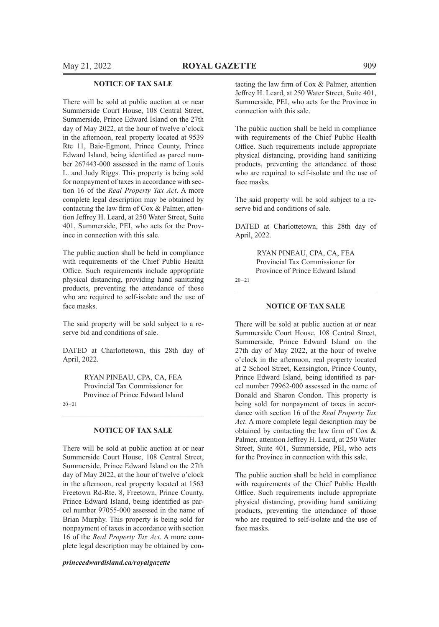#### **NOTICE OF TAX SALE**

There will be sold at public auction at or near Summerside Court House, 108 Central Street, Summerside, Prince Edward Island on the 27th day of May 2022, at the hour of twelve o'clock in the afternoon, real property located at 9539 Rte 11, Baie-Egmont, Prince County, Prince Edward Island, being identified as parcel number 267443-000 assessed in the name of Louis L. and Judy Riggs. This property is being sold for nonpayment of taxes in accordance with section 16 of the *Real Property Tax Act*. A more complete legal description may be obtained by contacting the law firm of Cox & Palmer, attention Jeffrey H. Leard, at 250 Water Street, Suite 401, Summerside, PEI, who acts for the Province in connection with this sale.

The public auction shall be held in compliance with requirements of the Chief Public Health Office. Such requirements include appropriate physical distancing, providing hand sanitizing products, preventing the attendance of those who are required to self-isolate and the use of face masks.

The said property will be sold subject to a reserve bid and conditions of sale.

DATED at Charlottetown, this 28th day of April, 2022.

> RYAN PINEAU, CPA, CA, FEA Provincial Tax Commissioner for Province of Prince Edward Island

 $20 - 21$ 

#### **NOTICE OF TAX SALE**

There will be sold at public auction at or near Summerside Court House, 108 Central Street, Summerside, Prince Edward Island on the 27th day of May 2022, at the hour of twelve o'clock in the afternoon, real property located at 1563 Freetown Rd-Rte. 8, Freetown, Prince County, Prince Edward Island, being identified as parcel number 97055-000 assessed in the name of Brian Murphy. This property is being sold for nonpayment of taxes in accordance with section 16 of the *Real Property Tax Act*. A more complete legal description may be obtained by con-

*princeedwardisland.ca/royalgazette*

tacting the law firm of Cox & Palmer, attention Jeffrey H. Leard, at 250 Water Street, Suite 401, Summerside, PEI, who acts for the Province in connection with this sale.

The public auction shall be held in compliance with requirements of the Chief Public Health Office. Such requirements include appropriate physical distancing, providing hand sanitizing products, preventing the attendance of those who are required to self-isolate and the use of face masks.

The said property will be sold subject to a reserve bid and conditions of sale.

DATED at Charlottetown, this 28th day of April, 2022.

> RYAN PINEAU, CPA, CA, FEA Provincial Tax Commissioner for Province of Prince Edward Island

20–21

#### **NOTICE OF TAX SALE**

 $\mathcal{L}_\text{max} = \mathcal{L}_\text{max} = \mathcal{L}_\text{max} = \mathcal{L}_\text{max} = \mathcal{L}_\text{max} = \mathcal{L}_\text{max} = \mathcal{L}_\text{max} = \mathcal{L}_\text{max} = \mathcal{L}_\text{max} = \mathcal{L}_\text{max} = \mathcal{L}_\text{max} = \mathcal{L}_\text{max} = \mathcal{L}_\text{max} = \mathcal{L}_\text{max} = \mathcal{L}_\text{max} = \mathcal{L}_\text{max} = \mathcal{L}_\text{max} = \mathcal{L}_\text{max} = \mathcal{$ 

There will be sold at public auction at or near Summerside Court House, 108 Central Street, Summerside, Prince Edward Island on the 27th day of May 2022, at the hour of twelve o'clock in the afternoon, real property located at 2 School Street, Kensington, Prince County, Prince Edward Island, being identified as parcel number 79962-000 assessed in the name of Donald and Sharon Condon. This property is being sold for nonpayment of taxes in accordance with section 16 of the *Real Property Tax Act*. A more complete legal description may be obtained by contacting the law firm of Cox & Palmer, attention Jeffrey H. Leard, at 250 Water Street, Suite 401, Summerside, PEI, who acts for the Province in connection with this sale.

The public auction shall be held in compliance with requirements of the Chief Public Health Office. Such requirements include appropriate physical distancing, providing hand sanitizing products, preventing the attendance of those who are required to self-isolate and the use of face masks.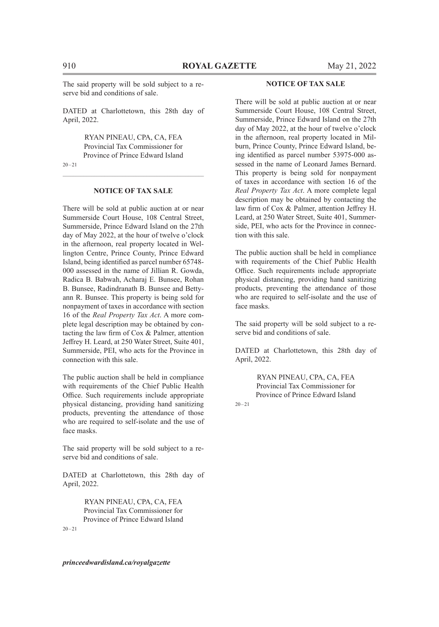The said property will be sold subject to a reserve bid and conditions of sale.

DATED at Charlottetown, this 28th day of April, 2022.

> RYAN PINEAU, CPA, CA, FEA Provincial Tax Commissioner for Province of Prince Edward Island

 $20 - 21$ 

#### **NOTICE OF TAX SALE**

There will be sold at public auction at or near Summerside Court House, 108 Central Street, Summerside, Prince Edward Island on the 27th day of May 2022, at the hour of twelve o'clock in the afternoon, real property located in Wellington Centre, Prince County, Prince Edward Island, being identified as parcel number 65748- 000 assessed in the name of Jillian R. Gowda, Radica B. Babwah, Acharaj E. Bunsee, Rohan B. Bunsee, Radindranath B. Bunsee and Bettyann R. Bunsee. This property is being sold for nonpayment of taxes in accordance with section 16 of the *Real Property Tax Act*. A more complete legal description may be obtained by contacting the law firm of Cox & Palmer, attention Jeffrey H. Leard, at 250 Water Street, Suite 401, Summerside, PEI, who acts for the Province in connection with this sale.

The public auction shall be held in compliance with requirements of the Chief Public Health Office. Such requirements include appropriate physical distancing, providing hand sanitizing products, preventing the attendance of those who are required to self-isolate and the use of face masks.

The said property will be sold subject to a reserve bid and conditions of sale.

DATED at Charlottetown, this 28th day of April, 2022.

> RYAN PINEAU, CPA, CA, FEA Provincial Tax Commissioner for Province of Prince Edward Island

 $20 - 21$ 

#### **NOTICE OF TAX SALE**

There will be sold at public auction at or near Summerside Court House, 108 Central Street, Summerside, Prince Edward Island on the 27th day of May 2022, at the hour of twelve o'clock in the afternoon, real property located in Milburn, Prince County, Prince Edward Island, being identified as parcel number 53975-000 assessed in the name of Leonard James Bernard. This property is being sold for nonpayment of taxes in accordance with section 16 of the *Real Property Tax Act*. A more complete legal description may be obtained by contacting the law firm of Cox & Palmer, attention Jeffrey H. Leard, at 250 Water Street, Suite 401, Summerside, PEI, who acts for the Province in connection with this sale.

The public auction shall be held in compliance with requirements of the Chief Public Health Office. Such requirements include appropriate physical distancing, providing hand sanitizing products, preventing the attendance of those who are required to self-isolate and the use of face masks.

The said property will be sold subject to a reserve bid and conditions of sale.

DATED at Charlottetown, this 28th day of April, 2022.

> RYAN PINEAU, CPA, CA, FEA Provincial Tax Commissioner for Province of Prince Edward Island

 $20 - 21$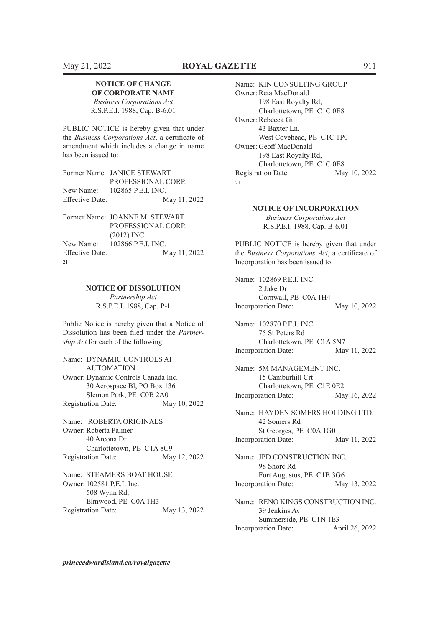#### **NOTICE OF CHANGE OF CORPORATE NAME**

*Business Corporations Act* R.S.P.E.I. 1988, Cap. B-6.01

PUBLIC NOTICE is hereby given that under the *Business Corporations Act*, a certificate of amendment which includes a change in name has been issued to:

|                        | Former Name: JANICE STEWART  |
|------------------------|------------------------------|
|                        | PROFESSIONAL CORP.           |
|                        | New Name: 102865 P.E.I. INC. |
| <b>Effective Date:</b> | May 11, 2022                 |

| Former Name: JOANNE M. STEWART         |
|----------------------------------------|
| PROFESSIONAL CORP.                     |
| $(2012)$ INC.                          |
| New Name: 102866 P.E.I. INC.           |
| May 11, 2022<br><b>Effective Date:</b> |
|                                        |
|                                        |

# $\mathcal{L}_\text{max} = \mathcal{L}_\text{max} = \mathcal{L}_\text{max} = \mathcal{L}_\text{max} = \mathcal{L}_\text{max} = \mathcal{L}_\text{max} = \mathcal{L}_\text{max} = \mathcal{L}_\text{max} = \mathcal{L}_\text{max} = \mathcal{L}_\text{max} = \mathcal{L}_\text{max} = \mathcal{L}_\text{max} = \mathcal{L}_\text{max} = \mathcal{L}_\text{max} = \mathcal{L}_\text{max} = \mathcal{L}_\text{max} = \mathcal{L}_\text{max} = \mathcal{L}_\text{max} = \mathcal{$ **NOTICE OF DISSOLUTION**

*Partnership Act* R.S.P.E.I. 1988, Cap. P-1

Public Notice is hereby given that a Notice of Dissolution has been filed under the *Partnership Act* for each of the following:

Name: DYNAMIC CONTROLS AI AUTOMATION Owner: Dynamic Controls Canada Inc. 30 Aerospace Bl, PO Box 136 Slemon Park, PE C0B 2A0 Registration Date: May 10, 2022

Name: ROBERTA ORIGINALS Owner: Roberta Palmer 40 Arcona Dr. Charlottetown, PE C1A 8C9 Registration Date: May 12, 2022

Name: STEAMERS BOAT HOUSE Owner: 102581 P.E.I. Inc. 508 Wynn Rd, Elmwood, PE C0A 1H3 Registration Date: May 13, 2022

Name: KIN CONSULTING GROUP Owner: Reta MacDonald 198 East Royalty Rd, Charlottetown, PE C1C 0E8 Owner: Rebecca Gill 43 Baxter Ln, West Covehead, PE C1C 1P0 Owner: Geoff MacDonald 198 East Royalty Rd, Charlottetown, PE C1C 0E8 Registration Date: May 10, 2022  $21$ 

> **NOTICE OF INCORPORATION** *Business Corporations Act* R.S.P.E.I. 1988, Cap. B-6.01

 $\mathcal{L}_\text{max} = \mathcal{L}_\text{max} = \mathcal{L}_\text{max} = \mathcal{L}_\text{max} = \mathcal{L}_\text{max} = \mathcal{L}_\text{max} = \mathcal{L}_\text{max} = \mathcal{L}_\text{max} = \mathcal{L}_\text{max} = \mathcal{L}_\text{max} = \mathcal{L}_\text{max} = \mathcal{L}_\text{max} = \mathcal{L}_\text{max} = \mathcal{L}_\text{max} = \mathcal{L}_\text{max} = \mathcal{L}_\text{max} = \mathcal{L}_\text{max} = \mathcal{L}_\text{max} = \mathcal{$ 

PUBLIC NOTICE is hereby given that under the *Business Corporations Act*, a certificate of Incorporation has been issued to:

Name: 102869 P.E.I. INC. 2 Jake Dr Cornwall, PE C0A 1H4 Incorporation Date: May 10, 2022

Name: 102870 P.E.I. INC. 75 St Peters Rd Charlottetown, PE C1A 5N7 Incorporation Date: May 11, 2022

Name: 5M MANAGEMENT INC. 15 Camburhill Crt Charlottetown, PE C1E 0E2 Incorporation Date: May 16, 2022

Name: HAYDEN SOMERS HOLDING LTD. 42 Somers Rd St Georges, PE C0A 1G0 Incorporation Date: May 11, 2022

Name: JPD CONSTRUCTION INC. 98 Shore Rd Fort Augustus, PE C1B 3G6 Incorporation Date: May 13, 2022

Name: RENO KINGS CONSTRUCTION INC. 39 Jenkins Av Summerside, PE C1N 1E3 Incorporation Date: April 26, 2022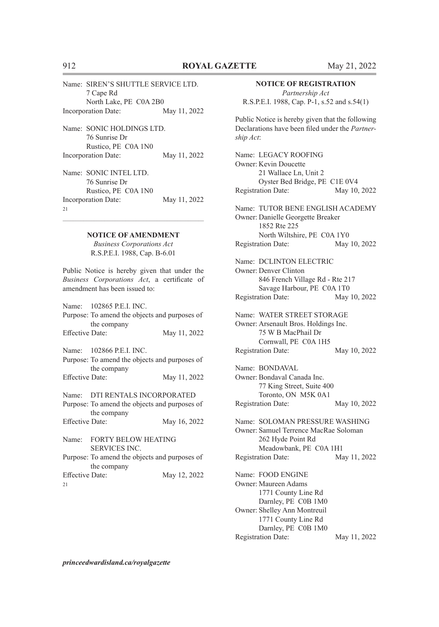| Name: SIREN'S SHUTTLE SERVICE LTD. |              |
|------------------------------------|--------------|
| 7 Cape Rd                          |              |
| North Lake, PE C0A 2B0             |              |
| <b>Incorporation Date:</b>         | May 11, 2022 |
| Name: SONIC HOLDINGS LTD.          |              |
| 76 Sunrise Dr                      |              |
| Rustico, PE C0A 1N0                |              |

Incorporation Date: May 11, 2022

Name: SONIC INTEL LTD. 76 Sunrise Dr Rustico, PE C0A 1N0 Incorporation Date: May 11, 2022 21

#### **NOTICE OF AMENDMENT**

*Business Corporations Act* R.S.P.E.I. 1988, Cap. B-6.01

Public Notice is hereby given that under the *Business Corporations Act*, a certificate of amendment has been issued to:

|                        | Name: 102865 P.E.I. INC.                           |              |
|------------------------|----------------------------------------------------|--------------|
|                        | Purpose: To amend the objects and purposes of      |              |
|                        | the company                                        |              |
| <b>Effective Date:</b> |                                                    | May 11, 2022 |
|                        | Name: 102866 P.E.I. INC.                           |              |
|                        | Purpose: To amend the objects and purposes of      |              |
|                        | the company                                        |              |
| <b>Effective Date:</b> |                                                    | May 11, 2022 |
|                        | Name: DTI RENTALS INCORPORATED                     |              |
|                        | Purpose: To amend the objects and purposes of      |              |
|                        | the company                                        |              |
| <b>Effective Date:</b> |                                                    | May 16, 2022 |
| Name:                  | <b>FORTY BELOW HEATING</b><br><b>SERVICES INC.</b> |              |

Purpose: To amend the objects and purposes of the company Effective Date: May 12, 2022 21

#### **NOTICE OF REGISTRATION**

*Partnership Act* R.S.P.E.I. 1988, Cap. P-1, s.52 and s.54(1)

Public Notice is hereby given that the following Declarations have been filed under the *Partnership Act*:

Name: LEGACY ROOFING Owner: Kevin Doucette 21 Wallace Ln, Unit 2 Oyster Bed Bridge, PE C1E 0V4 Registration Date: May 10, 2022

Name: TUTOR BENE ENGLISH ACADEMY Owner: Danielle Georgette Breaker 1852 Rte 225 North Wiltshire, PE C0A 1Y0 Registration Date: May 10, 2022

Name: DCLINTON ELECTRIC Owner: Denver Clinton 846 French Village Rd - Rte 217 Savage Harbour, PE C0A 1T0 Registration Date: May 10, 2022

Name: WATER STREET STORAGE Owner: Arsenault Bros. Holdings Inc. 75 W B MacPhail Dr Cornwall, PE C0A 1H5 Registration Date: May 10, 2022

Name: BONDAVAL Owner: Bondaval Canada Inc. 77 King Street, Suite 400 Toronto, ON M5K 0A1 Registration Date: May 10, 2022

Name: SOLOMAN PRESSURE WASHING Owner: Samuel Terrence MacRae Soloman 262 Hyde Point Rd Meadowbank, PE C0A 1H1 Registration Date: May 11, 2022

Name: FOOD ENGINE Owner: Maureen Adams 1771 County Line Rd Darnley, PE C0B 1M0 Owner: Shelley Ann Montreuil 1771 County Line Rd Darnley, PE C0B 1M0 Registration Date: May 11, 2022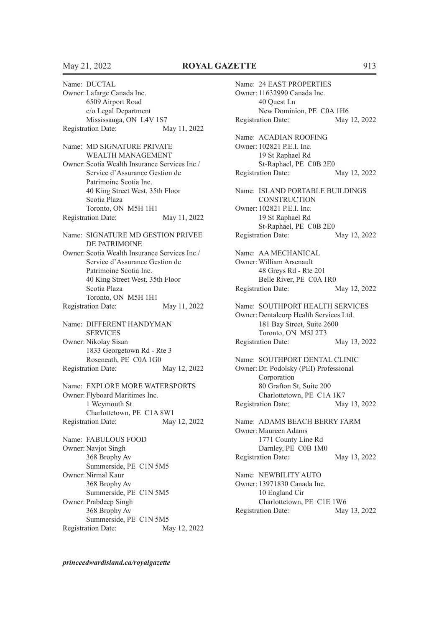Name: DUCTAL Owner: Lafarge Canada Inc. 6509 Airport Road c/o Legal Department Mississauga, ON L4V 1S7 Registration Date: May 11, 2022 Name: MD SIGNATURE PRIVATE WEALTH MANAGEMENT Owner: Scotia Wealth Insurance Services Inc./ Service d'Assurance Gestion de Patrimoine Scotia Inc. 40 King Street West, 35th Floor Scotia Plaza Toronto, ON M5H 1H1 Registration Date: May 11, 2022 Name: SIGNATURE MD GESTION PRIVEE DE PATRIMOINE Owner: Scotia Wealth Insurance Services Inc./ Service d'Assurance Gestion de Patrimoine Scotia Inc. 40 King Street West, 35th Floor Scotia Plaza Toronto, ON M5H 1H1 Registration Date: May 11, 2022 Name: DIFFERENT HANDYMAN **SERVICES** Owner: Nikolay Sisan 1833 Georgetown Rd - Rte 3 Roseneath, PE C0A 1G0 Registration Date: May 12, 2022 Name: EXPLORE MORE WATERSPORTS Owner: Flyboard Maritimes Inc. 1 Weymouth St Charlottetown, PE C1A 8W1<br>ttion Date: May 12, 2022 Registration Date: Name: FABULOUS FOOD Owner: Navjot Singh 368 Brophy Av Summerside, PE C1N 5M5 Owner: Nirmal Kaur 368 Brophy Av Summerside, PE C1N 5M5 Owner: Prabdeep Singh 368 Brophy Av Summerside, PE C1N 5M5 Registration Date: May 12, 2022

Name: 24 EAST PROPERTIES Owner: 11632990 Canada Inc. 40 Quest Ln New Dominion, PE C0A 1H6 Registration Date: May 12, 2022 Name: ACADIAN ROOFING Owner: 102821 P.E.I. Inc. 19 St Raphael Rd St-Raphael, PE C0B 2E0 Registration Date: May 12, 2022 Name: ISLAND PORTABLE BUILDINGS **CONSTRUCTION** Owner: 102821 P.E.I. Inc. 19 St Raphael Rd St-Raphael, PE C0B 2E0 Registration Date: May 12, 2022 Name: AA MECHANICAL Owner: William Arsenault 48 Greys Rd - Rte 201 Belle River, PE C0A 1R0 Registration Date: May 12, 2022 Name: SOUTHPORT HEALTH SERVICES Owner: Dentalcorp Health Services Ltd. 181 Bay Street, Suite 2600 Toronto, ON M5J 2T3 Registration Date: May 13, 2022 Name: SOUTHPORT DENTAL CLINIC Owner: Dr. Podolsky (PEI) Professional Corporation 80 Grafton St, Suite 200 Charlottetown, PE C1A 1K7 Registration Date: May 13, 2022 Name: ADAMS BEACH BERRY FARM Owner: Maureen Adams 1771 County Line Rd Darnley, PE C0B 1M0 Registration Date: May 13, 2022 Name: NEWBILITY AUTO Owner: 13971830 Canada Inc. 10 England Cir Charlottetown, PE C1E 1W6 Registration Date: May 13, 2022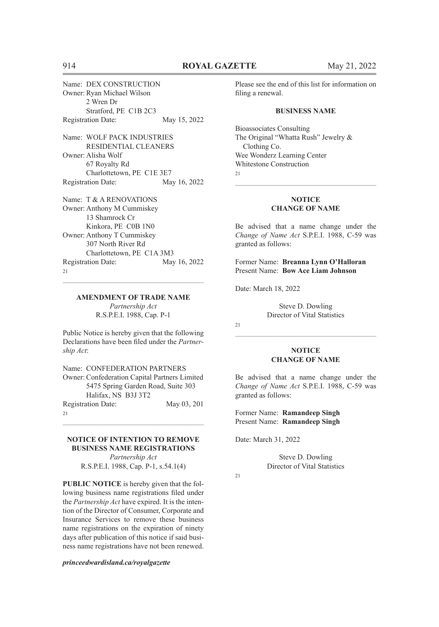Name: DEX CONSTRUCTION Owner: Ryan Michael Wilson 2 Wren Dr Stratford, PE C1B 2C3 Registration Date: May 15, 2022 Name: WOLF PACK INDUSTRIES RESIDENTIAL CLEANERS Owner: Alisha Wolf 67 Royalty Rd Charlottetown, PE C1E 3E7 Registration Date: May 16, 2022 Name: T & A RENOVATIONS Owner: Anthony M Cummiskey 13 Shamrock Cr Kinkora, PE C0B 1N0 Owner: Anthony T Cummiskey 307 North River Rd Charlottetown, PE C1A 3M3 Registration Date: May 16, 2022 21  $\mathcal{L}_\text{max} = \mathcal{L}_\text{max} = \mathcal{L}_\text{max} = \mathcal{L}_\text{max} = \mathcal{L}_\text{max} = \mathcal{L}_\text{max} = \mathcal{L}_\text{max} = \mathcal{L}_\text{max} = \mathcal{L}_\text{max} = \mathcal{L}_\text{max} = \mathcal{L}_\text{max} = \mathcal{L}_\text{max} = \mathcal{L}_\text{max} = \mathcal{L}_\text{max} = \mathcal{L}_\text{max} = \mathcal{L}_\text{max} = \mathcal{L}_\text{max} = \mathcal{L}_\text{max} = \mathcal{$ 

#### **AMENDMENT OF TRADE NAME**

*Partnership Act* R.S.P.E.I. 1988, Cap. P-1

Public Notice is hereby given that the following Declarations have been filed under the *Partnership Act*:

Name: CONFEDERATION PARTNERS Owner: Confederation Capital Partners Limited 5475 Spring Garden Road, Suite 303 Halifax, NS B3J 3T2 Registration Date: May 03, 201 21

#### **NOTICE OF INTENTION TO REMOVE BUSINESS NAME REGISTRATIONS**

 $\mathcal{L}_\text{max} = \mathcal{L}_\text{max} = \mathcal{L}_\text{max} = \mathcal{L}_\text{max} = \mathcal{L}_\text{max} = \mathcal{L}_\text{max} = \mathcal{L}_\text{max} = \mathcal{L}_\text{max} = \mathcal{L}_\text{max} = \mathcal{L}_\text{max} = \mathcal{L}_\text{max} = \mathcal{L}_\text{max} = \mathcal{L}_\text{max} = \mathcal{L}_\text{max} = \mathcal{L}_\text{max} = \mathcal{L}_\text{max} = \mathcal{L}_\text{max} = \mathcal{L}_\text{max} = \mathcal{$ 

*Partnership Act* R.S.P.E.I. 1988, Cap. P-1, s.54.1(4)

**PUBLIC NOTICE** is hereby given that the following business name registrations filed under the *Partnership Act* have expired. It is the intention of the Director of Consumer, Corporate and Insurance Services to remove these business name registrations on the expiration of ninety days after publication of this notice if said business name registrations have not been renewed.

*princeedwardisland.ca/royalgazette*

Please see the end of this list for information on filing a renewal.

#### **BUSINESS NAME**

Bioassociates Consulting The Original "Whatta Rush" Jewelry & Clothing Co. Wee Wonderz Learning Center Whitestone Construction 21

#### **NOTICE CHANGE OF NAME**

 $\mathcal{L}_\text{max} = \mathcal{L}_\text{max} = \mathcal{L}_\text{max} = \mathcal{L}_\text{max} = \mathcal{L}_\text{max} = \mathcal{L}_\text{max} = \mathcal{L}_\text{max} = \mathcal{L}_\text{max} = \mathcal{L}_\text{max} = \mathcal{L}_\text{max} = \mathcal{L}_\text{max} = \mathcal{L}_\text{max} = \mathcal{L}_\text{max} = \mathcal{L}_\text{max} = \mathcal{L}_\text{max} = \mathcal{L}_\text{max} = \mathcal{L}_\text{max} = \mathcal{L}_\text{max} = \mathcal{$ 

Be advised that a name change under the *Change of Name Act* S.P.E.I. 1988, C-59 was granted as follows:

Former Name: **Breanna Lynn O'Halloran** Present Name: **Bow Ace Liam Johnson**

Date: March 18, 2022

Steve D. Dowling Director of Vital Statistics

 $21$ 

#### **NOTICE CHANGE OF NAME**

 $\mathcal{L}_\text{max} = \mathcal{L}_\text{max} = \mathcal{L}_\text{max} = \mathcal{L}_\text{max} = \mathcal{L}_\text{max} = \mathcal{L}_\text{max} = \mathcal{L}_\text{max} = \mathcal{L}_\text{max} = \mathcal{L}_\text{max} = \mathcal{L}_\text{max} = \mathcal{L}_\text{max} = \mathcal{L}_\text{max} = \mathcal{L}_\text{max} = \mathcal{L}_\text{max} = \mathcal{L}_\text{max} = \mathcal{L}_\text{max} = \mathcal{L}_\text{max} = \mathcal{L}_\text{max} = \mathcal{$ 

Be advised that a name change under the *Change of Name Act* S.P.E.I. 1988, C-59 was granted as follows:

Former Name: **Ramandeep Singh** Present Name: **Ramandeep Singh**

Date: March 31, 2022

Steve D. Dowling Director of Vital Statistics

 $21$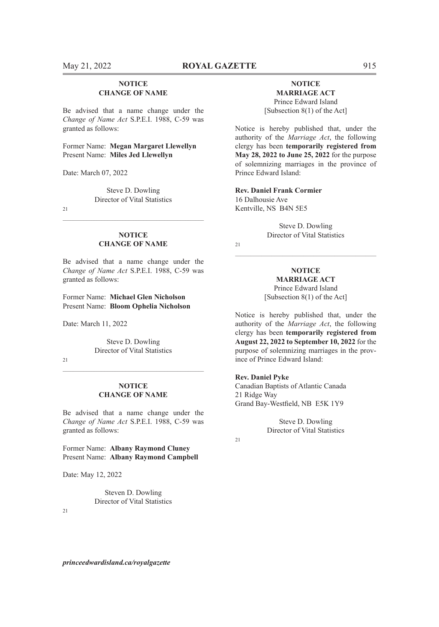#### **NOTICE CHANGE OF NAME**

Be advised that a name change under the *Change of Name Act* S.P.E.I. 1988, C-59 was granted as follows:

Former Name: **Megan Margaret Llewellyn** Present Name: **Miles Jed Llewellyn**

Date: March 07, 2022

Steve D. Dowling Director of Vital Statistics

21

#### **NOTICE CHANGE OF NAME**

 $\mathcal{L}_\text{max} = \mathcal{L}_\text{max} = \mathcal{L}_\text{max} = \mathcal{L}_\text{max} = \mathcal{L}_\text{max} = \mathcal{L}_\text{max} = \mathcal{L}_\text{max} = \mathcal{L}_\text{max} = \mathcal{L}_\text{max} = \mathcal{L}_\text{max} = \mathcal{L}_\text{max} = \mathcal{L}_\text{max} = \mathcal{L}_\text{max} = \mathcal{L}_\text{max} = \mathcal{L}_\text{max} = \mathcal{L}_\text{max} = \mathcal{L}_\text{max} = \mathcal{L}_\text{max} = \mathcal{$ 

Be advised that a name change under the *Change of Name Act* S.P.E.I. 1988, C-59 was granted as follows:

Former Name: **Michael Glen Nicholson** Present Name: **Bloom Ophelia Nicholson**

Date: March 11, 2022

Steve D. Dowling Director of Vital Statistics

21

#### **NOTICE CHANGE OF NAME**

Be advised that a name change under the *Change of Name Act* S.P.E.I. 1988, C-59 was granted as follows:

Former Name: **Albany Raymond Cluney** Present Name: **Albany Raymond Campbell**

Date: May 12, 2022

Steven D. Dowling Director of Vital Statistics

 $21$ 

#### **NOTICE MARRIAGE ACT** Prince Edward Island [Subsection 8(1) of the Act]

Notice is hereby published that, under the authority of the *Marriage Act*, the following clergy has been **temporarily registered from May 28, 2022 to June 25, 2022** for the purpose of solemnizing marriages in the province of Prince Edward Island:

**Rev. Daniel Frank Cormier** 16 Dalhousie Ave Kentville, NS B4N 5E5

> Steve D. Dowling Director of Vital Statistics

 $21$ 

**NOTICE MARRIAGE ACT** Prince Edward Island [Subsection 8(1) of the Act]

 $\mathcal{L}_\text{max} = \mathcal{L}_\text{max} = \mathcal{L}_\text{max} = \mathcal{L}_\text{max} = \mathcal{L}_\text{max} = \mathcal{L}_\text{max} = \mathcal{L}_\text{max} = \mathcal{L}_\text{max} = \mathcal{L}_\text{max} = \mathcal{L}_\text{max} = \mathcal{L}_\text{max} = \mathcal{L}_\text{max} = \mathcal{L}_\text{max} = \mathcal{L}_\text{max} = \mathcal{L}_\text{max} = \mathcal{L}_\text{max} = \mathcal{L}_\text{max} = \mathcal{L}_\text{max} = \mathcal{$ 

Notice is hereby published that, under the authority of the *Marriage Act*, the following clergy has been **temporarily registered from August 22, 2022 to September 10, 2022** for the purpose of solemnizing marriages in the province of Prince Edward Island:

#### **Rev. Daniel Pyke**

Canadian Baptists of Atlantic Canada 21 Ridge Way Grand Bay-Westfield, NB E5K 1Y9

> Steve D. Dowling Director of Vital Statistics

21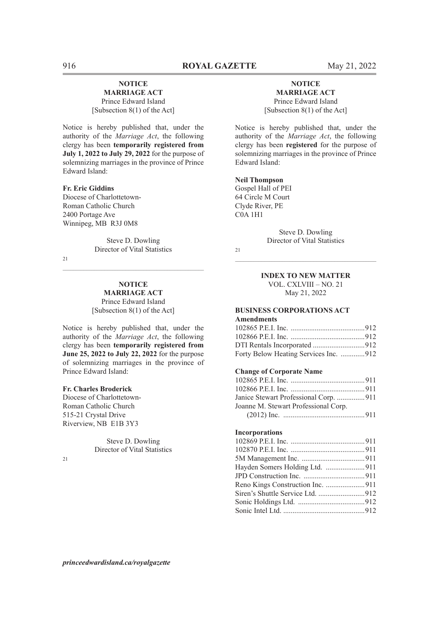#### **NOTICE MARRIAGE ACT** Prince Edward Island

[Subsection 8(1) of the Act]

Notice is hereby published that, under the authority of the *Marriage Act*, the following clergy has been **temporarily registered from July 1, 2022 to July 29, 2022** for the purpose of solemnizing marriages in the province of Prince Edward Island:

#### **Fr. Eric Giddins**

Diocese of Charlottetown-Roman Catholic Church 2400 Portage Ave Winnipeg, MB R3J 0M8

> Steve D. Dowling Director of Vital Statistics

 $\mathcal{L}_\text{max} = \mathcal{L}_\text{max} = \mathcal{L}_\text{max} = \mathcal{L}_\text{max} = \mathcal{L}_\text{max} = \mathcal{L}_\text{max} = \mathcal{L}_\text{max} = \mathcal{L}_\text{max} = \mathcal{L}_\text{max} = \mathcal{L}_\text{max} = \mathcal{L}_\text{max} = \mathcal{L}_\text{max} = \mathcal{L}_\text{max} = \mathcal{L}_\text{max} = \mathcal{L}_\text{max} = \mathcal{L}_\text{max} = \mathcal{L}_\text{max} = \mathcal{L}_\text{max} = \mathcal{$ 

 $21$ 

#### **NOTICE MARRIAGE ACT**

Prince Edward Island [Subsection 8(1) of the Act]

Notice is hereby published that, under the authority of the *Marriage Act*, the following clergy has been **temporarily registered from June 25, 2022 to July 22, 2022** for the purpose of solemnizing marriages in the province of Prince Edward Island:

#### **Fr. Charles Broderick**

Diocese of Charlottetown-Roman Catholic Church 515-21 Crystal Drive Riverview, NB E1B 3Y3

> Steve D. Dowling Director of Vital Statistics

 $21$ 

# **NOTICE**

**MARRIAGE ACT** Prince Edward Island [Subsection 8(1) of the Act]

Notice is hereby published that, under the authority of the *Marriage Act*, the following clergy has been **registered** for the purpose of solemnizing marriages in the province of Prince Edward Island:

#### **Neil Thompson**

Gospel Hall of PEI 64 Circle M Court Clyde River, PE  $COA$  1H<sub>1</sub>

> Steve D. Dowling Director of Vital Statistics

21

#### **INDEX TO NEW MATTER** VOL. CXLVIII – NO. 21 May 21, 2022

 $\mathcal{L}_\text{max} = \mathcal{L}_\text{max} = \mathcal{L}_\text{max} = \mathcal{L}_\text{max} = \mathcal{L}_\text{max} = \mathcal{L}_\text{max} = \mathcal{L}_\text{max} = \mathcal{L}_\text{max} = \mathcal{L}_\text{max} = \mathcal{L}_\text{max} = \mathcal{L}_\text{max} = \mathcal{L}_\text{max} = \mathcal{L}_\text{max} = \mathcal{L}_\text{max} = \mathcal{L}_\text{max} = \mathcal{L}_\text{max} = \mathcal{L}_\text{max} = \mathcal{L}_\text{max} = \mathcal{$ 

# **BUSINESS CORPORATIONS ACT**

# **Amendments**

| Forty Below Heating Services Inc. 912 |  |
|---------------------------------------|--|

#### **Change of Corporate Name**

| Janice Stewart Professional Corp. 911 |  |
|---------------------------------------|--|
| Joanne M. Stewart Professional Corp.  |  |
|                                       |  |

#### **Incorporations**

| Siren's Shuttle Service Ltd. 912 |  |
|----------------------------------|--|
|                                  |  |
|                                  |  |
|                                  |  |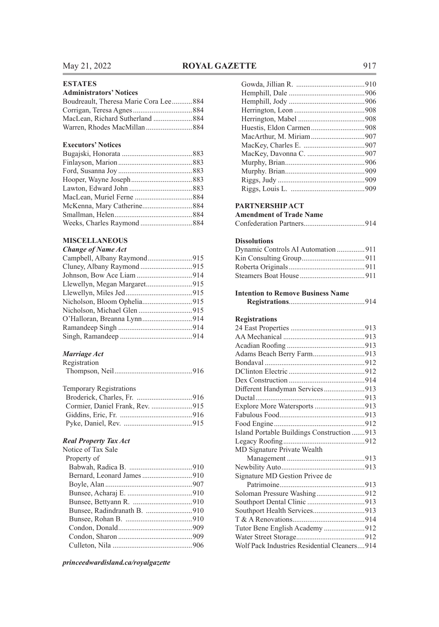### **ESTATES**

#### **Administrators' Notices**

| Boudreault, Theresa Marie Cora Lee884 |  |
|---------------------------------------|--|
|                                       |  |
|                                       |  |
|                                       |  |

### **Executors' Notices**

#### **MISCELLANEOUS**

#### *Change of Name Act*

# *Marriage Act*

| Registration |  |
|--------------|--|
|              |  |

| <b>Temporary Registrations</b> |  |
|--------------------------------|--|
|                                |  |
|                                |  |
|                                |  |
|                                |  |
|                                |  |

#### *Real Property Tax Act*

| Notice of Tax Sale |  |
|--------------------|--|
| Property of        |  |
|                    |  |
|                    |  |
|                    |  |
|                    |  |
|                    |  |
|                    |  |
|                    |  |
|                    |  |
|                    |  |
|                    |  |
|                    |  |

*princeedwardisland.ca/royalgazette*

# **PARTNERSHIP ACT**

| LARITERSHII ACT                |  |
|--------------------------------|--|
| <b>Amendment of Trade Name</b> |  |
|                                |  |

|--|--|

#### **Dissolutions**

| Dynamic Controls AI Automation 911 |  |
|------------------------------------|--|
|                                    |  |
|                                    |  |
|                                    |  |

#### **Intention to Remove Business Name**

|--|--|--|--|

### **Registrations**

| Adams Beach Berry Farm913                    |
|----------------------------------------------|
|                                              |
|                                              |
|                                              |
| Different Handyman Services913               |
|                                              |
| Explore More Watersports 913                 |
|                                              |
|                                              |
| Island Portable Buildings Construction 913   |
|                                              |
| MD Signature Private Wealth                  |
|                                              |
|                                              |
| Signature MD Gestion Privee de               |
|                                              |
| Soloman Pressure Washing912                  |
|                                              |
| Southport Health Services913                 |
|                                              |
| Tutor Bene English Academy 912               |
|                                              |
| Wolf Pack Industries Residential Cleaners914 |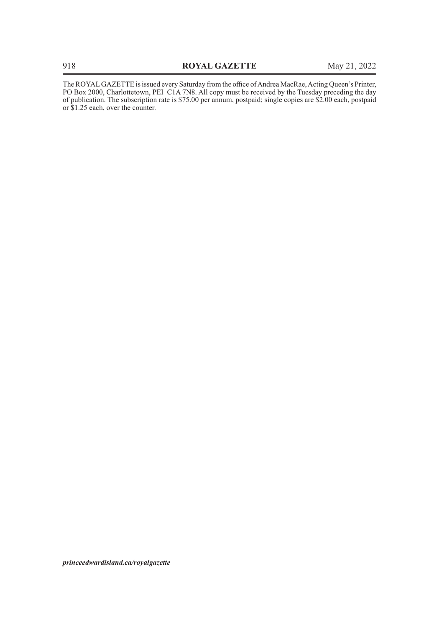The ROYAL GAZETTE is issued every Saturday from the office of Andrea MacRae, Acting Queen's Printer, PO Box 2000, Charlottetown, PEI C1A 7N8. All copy must be received by the Tuesday preceding the day of publication. The subscription rate is \$75.00 per annum, postpaid; single copies are \$2.00 each, postpaid or \$1.25 each, over the counter.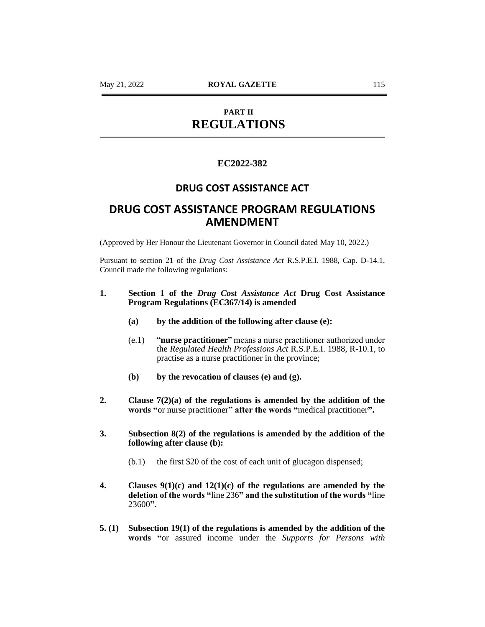# **PART II REGULATIONS**

# **EC2022-382**

# **DRUG COST ASSISTANCE ACT**

# **DRUG COST ASSISTANCE PROGRAM REGULATIONS AMENDMENT**

(Approved by Her Honour the Lieutenant Governor in Council dated May 10, 2022.)

Pursuant to section 21 of the *Drug Cost Assistance Act* R.S.P.E.I. 1988, Cap. D-14.1, Council made the following regulations:

# **1. Section 1 of the** *Drug Cost Assistance Act* **Drug Cost Assistance Program Regulations (EC367/14) is amended**

- **(a) by the addition of the following after clause (e):**
- (e.1) "**nurse practitioner**" means a nurse practitioner authorized under the *Regulated Health Professions Act* R.S.P.E.I. 1988, R-10.1, to practise as a nurse practitioner in the province;
- **(b) by the revocation of clauses (e) and (g).**
- **2. Clause 7(2)(a) of the regulations is amended by the addition of the words "**or nurse practitioner**" after the words "**medical practitioner**".**
- **3. Subsection 8(2) of the regulations is amended by the addition of the following after clause (b):**
	- (b.1) the first \$20 of the cost of each unit of glucagon dispensed;
- **4. Clauses 9(1)(c) and 12(1)(c) of the regulations are amended by the deletion of the words "**line 236**" and the substitution of the words "**line 23600**".**
- **5. (1) Subsection 19(1) of the regulations is amended by the addition of the words "**or assured income under the *Supports for Persons with*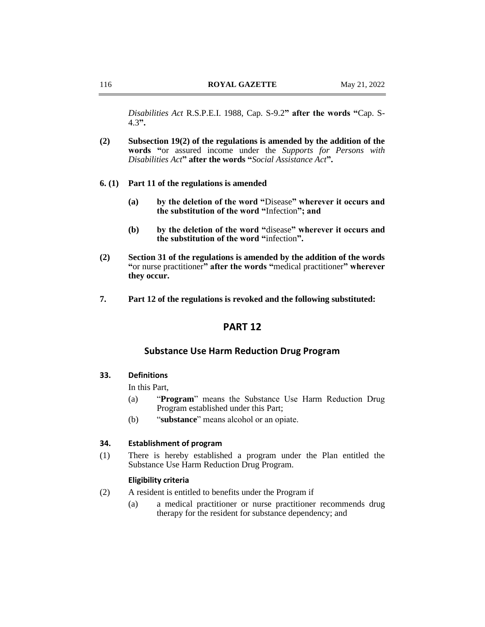*Disabilities Act* R.S.P.E.I. 1988, Cap. S-9.2**" after the words "**Cap. S-4.3**".**

- **(2) Subsection 19(2) of the regulations is amended by the addition of the words "**or assured income under the *Supports for Persons with Disabilities Act***" after the words "***Social Assistance Act***".**
- **6. (1) Part 11 of the regulations is amended**
	- **(a) by the deletion of the word "**Disease**" wherever it occurs and the substitution of the word "**Infection**"; and**
	- **(b) by the deletion of the word "**disease**" wherever it occurs and the substitution of the word "**infection**".**
- **(2) Section 31 of the regulations is amended by the addition of the words "**or nurse practitioner**" after the words "**medical practitioner**" wherever they occur.**
- **7. Part 12 of the regulations is revoked and the following substituted:**

# **PART 12**

## **Substance Use Harm Reduction Drug Program**

# **33. Definitions**

In this Part,

- (a) "**Program**" means the Substance Use Harm Reduction Drug Program established under this Part;
- (b) "**substance**" means alcohol or an opiate.

## **34. Establishment of program**

(1) There is hereby established a program under the Plan entitled the Substance Use Harm Reduction Drug Program.

# **Eligibility criteria**

- (2) A resident is entitled to benefits under the Program if
	- (a) a medical practitioner or nurse practitioner recommends drug therapy for the resident for substance dependency; and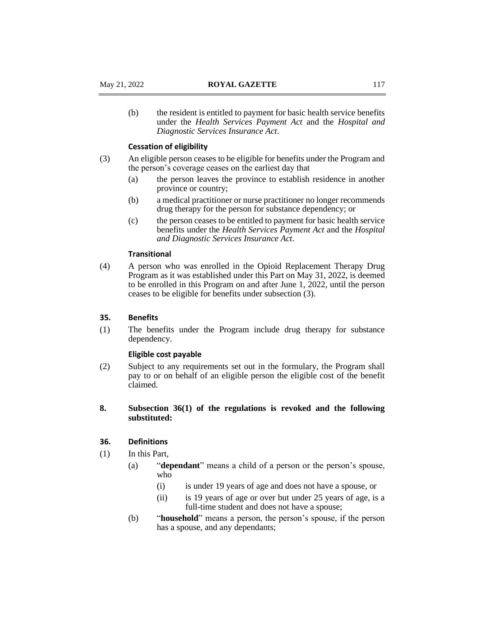(b) the resident is entitled to payment for basic health service benefits under the *Health Services Payment Act* and the *Hospital and Diagnostic Services Insurance Act*.

#### **Cessation of eligibility**

- (3) An eligible person ceases to be eligible for benefits under the Program and the person's coverage ceases on the earliest day that
	- (a) the person leaves the province to establish residence in another province or country;
	- (b) a medical practitioner or nurse practitioner no longer recommends drug therapy for the person for substance dependency; or
	- (c) the person ceases to be entitled to payment for basic health service benefits under the *Health Services Payment Act* and the *Hospital and Diagnostic Services Insurance Act*.

# **Transitional**

(4) A person who was enrolled in the Opioid Replacement Therapy Drug Program as it was established under this Part on May 31, 2022, is deemed to be enrolled in this Program on and after June 1, 2022, until the person ceases to be eligible for benefits under subsection (3).

## **35. Benefits**

(1) The benefits under the Program include drug therapy for substance dependency.

## **Eligible cost payable**

- (2) Subject to any requirements set out in the formulary, the Program shall pay to or on behalf of an eligible person the eligible cost of the benefit claimed.
- **8. Subsection 36(1) of the regulations is revoked and the following substituted:**

## **36. Definitions**

- (1) In this Part,
	- (a) "**dependant**" means a child of a person or the person's spouse, who
		- (i) is under 19 years of age and does not have a spouse, or
		- (ii) is 19 years of age or over but under 25 years of age, is a full-time student and does not have a spouse;
	- (b) "**household**" means a person, the person's spouse, if the person has a spouse, and any dependants;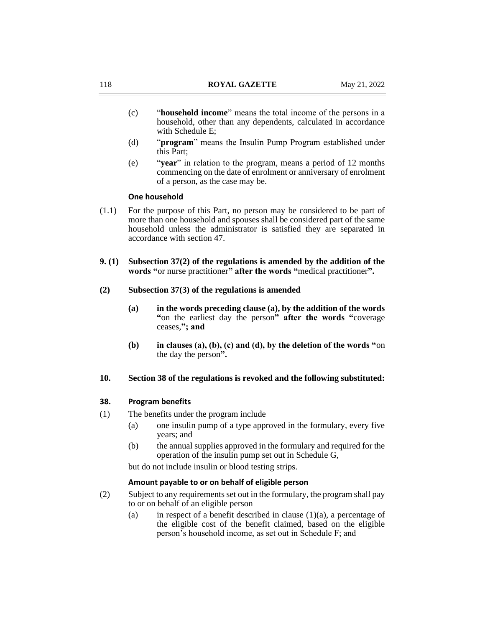- (c) "**household income**" means the total income of the persons in a household, other than any dependents, calculated in accordance with Schedule E;
- (d) "**program**" means the Insulin Pump Program established under this Part;
- (e) "**year**" in relation to the program, means a period of 12 months commencing on the date of enrolment or anniversary of enrolment of a person, as the case may be.

## **One household**

- (1.1) For the purpose of this Part, no person may be considered to be part of more than one household and spouses shall be considered part of the same household unless the administrator is satisfied they are separated in accordance with section 47.
- **9. (1) Subsection 37(2) of the regulations is amended by the addition of the words "**or nurse practitioner**" after the words "**medical practitioner**".**
- **(2) Subsection 37(3) of the regulations is amended**
	- **(a) in the words preceding clause (a), by the addition of the words "**on the earliest day the person**" after the words "**coverage ceases,**"; and**
	- **(b) in clauses (a), (b), (c) and (d), by the deletion of the words "**on the day the person**".**

## **10. Section 38 of the regulations is revoked and the following substituted:**

#### **38. Program benefits**

- (1) The benefits under the program include
	- (a) one insulin pump of a type approved in the formulary, every five years; and
	- (b) the annual supplies approved in the formulary and required for the operation of the insulin pump set out in Schedule G,

but do not include insulin or blood testing strips.

## **Amount payable to or on behalf of eligible person**

- (2) Subject to any requirements set out in the formulary, the program shall pay to or on behalf of an eligible person
	- (a) in respect of a benefit described in clause  $(1)(a)$ , a percentage of the eligible cost of the benefit claimed, based on the eligible person's household income, as set out in Schedule F; and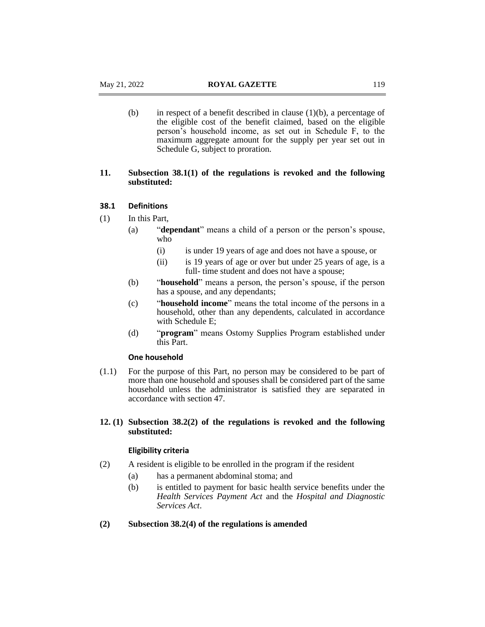(b) in respect of a benefit described in clause  $(1)(b)$ , a percentage of the eligible cost of the benefit claimed, based on the eligible person's household income, as set out in Schedule F, to the maximum aggregate amount for the supply per year set out in Schedule G, subject to proration.

# **11. Subsection 38.1(1) of the regulations is revoked and the following substituted:**

## **38.1 Definitions**

- (1) In this Part,
	- (a) "**dependant**" means a child of a person or the person's spouse, who
		- (i) is under 19 years of age and does not have a spouse, or
		- (ii) is 19 years of age or over but under 25 years of age, is a full- time student and does not have a spouse;
	- (b) "**household**" means a person, the person's spouse, if the person has a spouse, and any dependants;
	- (c) "**household income**" means the total income of the persons in a household, other than any dependents, calculated in accordance with Schedule E;
	- (d) "**program**" means Ostomy Supplies Program established under this Part.

## **One household**

(1.1) For the purpose of this Part, no person may be considered to be part of more than one household and spouses shall be considered part of the same household unless the administrator is satisfied they are separated in accordance with section 47.

# **12. (1) Subsection 38.2(2) of the regulations is revoked and the following substituted:**

## **Eligibility criteria**

- (2) A resident is eligible to be enrolled in the program if the resident
	- (a) has a permanent abdominal stoma; and
	- (b) is entitled to payment for basic health service benefits under the *Health Services Payment Act* and the *Hospital and Diagnostic Services Act*.

## **(2) Subsection 38.2(4) of the regulations is amended**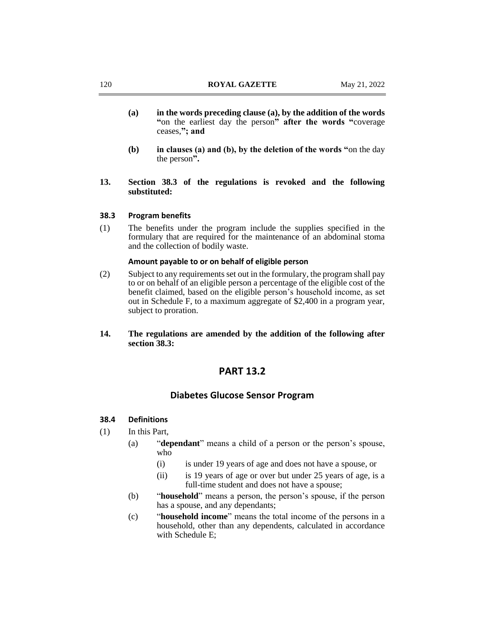- **(a) in the words preceding clause (a), by the addition of the words "**on the earliest day the person**" after the words "**coverage ceases,**"; and**
- **(b) in clauses (a) and (b), by the deletion of the words "**on the day the person**".**
- **13. Section 38.3 of the regulations is revoked and the following substituted:**

## **38.3 Program benefits**

(1) The benefits under the program include the supplies specified in the formulary that are required for the maintenance of an abdominal stoma and the collection of bodily waste.

## **Amount payable to or on behalf of eligible person**

- (2) Subject to any requirements set out in the formulary, the program shall pay to or on behalf of an eligible person a percentage of the eligible cost of the benefit claimed, based on the eligible person's household income, as set out in Schedule F, to a maximum aggregate of \$2,400 in a program year, subject to proration.
- **14. The regulations are amended by the addition of the following after section 38.3:**

# **PART 13.2**

## **Diabetes Glucose Sensor Program**

## **38.4 Definitions**

- (1) In this Part,
	- (a) "**dependant**" means a child of a person or the person's spouse, who
		- (i) is under 19 years of age and does not have a spouse, or
		- (ii) is 19 years of age or over but under 25 years of age, is a full-time student and does not have a spouse:
	- (b) "**household**" means a person, the person's spouse, if the person has a spouse, and any dependants;
	- (c) "**household income**" means the total income of the persons in a household, other than any dependents, calculated in accordance with Schedule E;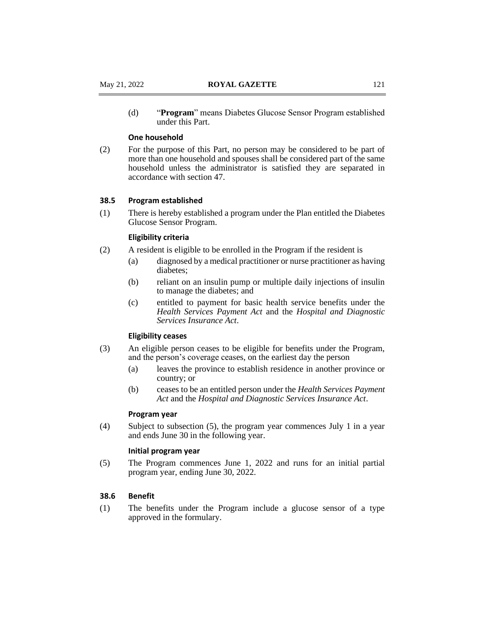(d) "**Program**" means Diabetes Glucose Sensor Program established under this Part.

## **One household**

(2) For the purpose of this Part, no person may be considered to be part of more than one household and spouses shall be considered part of the same household unless the administrator is satisfied they are separated in accordance with section 47.

# **38.5 Program established**

(1) There is hereby established a program under the Plan entitled the Diabetes Glucose Sensor Program.

### **Eligibility criteria**

- (2) A resident is eligible to be enrolled in the Program if the resident is
	- (a) diagnosed by a medical practitioner or nurse practitioner as having diabetes;
	- (b) reliant on an insulin pump or multiple daily injections of insulin to manage the diabetes; and
	- (c) entitled to payment for basic health service benefits under the *Health Services Payment Act* and the *Hospital and Diagnostic Services Insurance Act*.

## **Eligibility ceases**

- (3) An eligible person ceases to be eligible for benefits under the Program, and the person's coverage ceases, on the earliest day the person
	- (a) leaves the province to establish residence in another province or country; or
	- (b) ceases to be an entitled person under the *Health Services Payment Act* and the *Hospital and Diagnostic Services Insurance Act*.

## **Program year**

(4) Subject to subsection (5), the program year commences July 1 in a year and ends June 30 in the following year.

### **Initial program year**

(5) The Program commences June 1, 2022 and runs for an initial partial program year, ending June 30, 2022.

# **38.6 Benefit**

(1) The benefits under the Program include a glucose sensor of a type approved in the formulary.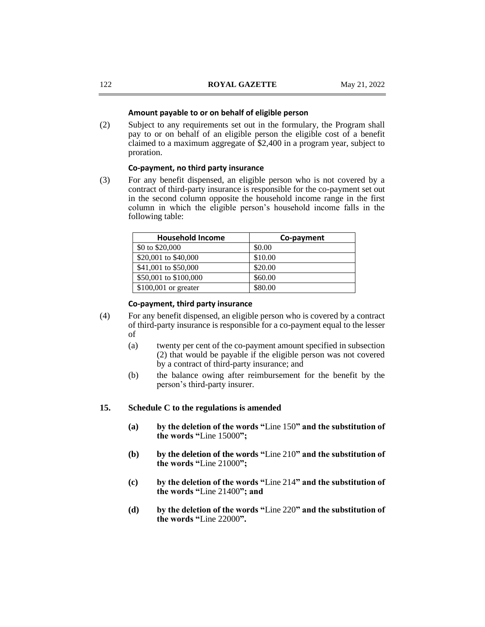### **Amount payable to or on behalf of eligible person**

(2) Subject to any requirements set out in the formulary, the Program shall pay to or on behalf of an eligible person the eligible cost of a benefit claimed to a maximum aggregate of \$2,400 in a program year, subject to proration.

## **Co-payment, no third party insurance**

(3) For any benefit dispensed, an eligible person who is not covered by a contract of third-party insurance is responsible for the co-payment set out in the second column opposite the household income range in the first column in which the eligible person's household income falls in the following table:

| <b>Household Income</b> | Co-payment |
|-------------------------|------------|
| \$0 to \$20,000         | \$0.00     |
| \$20,001 to \$40,000    | \$10.00    |
| \$41,001 to \$50,000    | \$20.00    |
| \$50,001 to \$100,000   | \$60.00    |
| \$100,001 or greater    | \$80.00    |

# **Co-payment, third party insurance**

- (4) For any benefit dispensed, an eligible person who is covered by a contract of third-party insurance is responsible for a co-payment equal to the lesser of
	- (a) twenty per cent of the co-payment amount specified in subsection (2) that would be payable if the eligible person was not covered by a contract of third-party insurance; and
	- (b) the balance owing after reimbursement for the benefit by the person's third-party insurer.

# **15. Schedule C to the regulations is amended**

- **(a) by the deletion of the words "**Line 150**" and the substitution of the words "**Line 15000**";**
- **(b) by the deletion of the words "**Line 210**" and the substitution of the words "**Line 21000**";**
- **(c) by the deletion of the words "**Line 214**" and the substitution of the words "**Line 21400**"; and**
- **(d) by the deletion of the words "**Line 220**" and the substitution of the words "**Line 22000**".**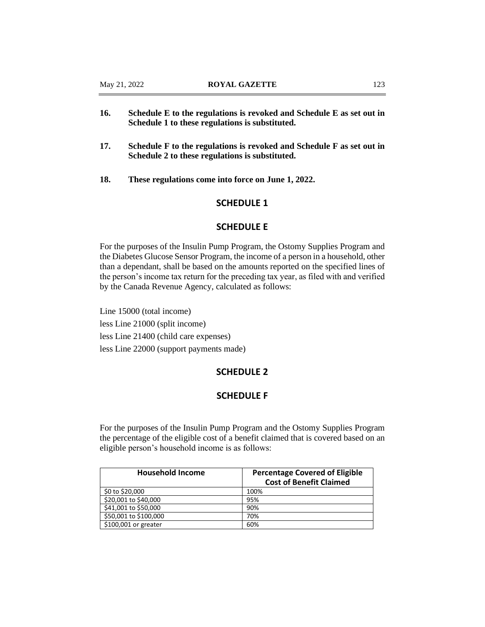- **16. Schedule E to the regulations is revoked and Schedule E as set out in Schedule 1 to these regulations is substituted.**
- **17. Schedule F to the regulations is revoked and Schedule F as set out in Schedule 2 to these regulations is substituted.**
- **18. These regulations come into force on June 1, 2022.**

# **SCHEDULE 1**

# **SCHEDULE E**

For the purposes of the Insulin Pump Program, the Ostomy Supplies Program and the Diabetes Glucose Sensor Program, the income of a person in a household, other than a dependant, shall be based on the amounts reported on the specified lines of the person's income tax return for the preceding tax year, as filed with and verified by the Canada Revenue Agency, calculated as follows:

Line 15000 (total income) less Line 21000 (split income) less Line 21400 (child care expenses) less Line 22000 (support payments made)

# **SCHEDULE 2**

# **SCHEDULE F**

For the purposes of the Insulin Pump Program and the Ostomy Supplies Program the percentage of the eligible cost of a benefit claimed that is covered based on an eligible person's household income is as follows:

| <b>Household Income</b> | <b>Percentage Covered of Eligible</b><br><b>Cost of Benefit Claimed</b> |
|-------------------------|-------------------------------------------------------------------------|
| \$0 to \$20,000         | 100%                                                                    |
| \$20,001 to \$40,000    | 95%                                                                     |
| \$41,001 to \$50,000    | 90%                                                                     |
| \$50,001 to \$100,000   | 70%                                                                     |
| \$100,001 or greater    | 60%                                                                     |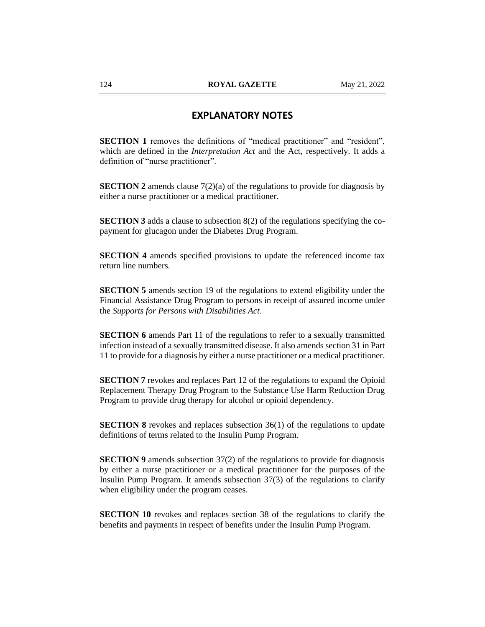# **EXPLANATORY NOTES**

**SECTION 1** removes the definitions of "medical practitioner" and "resident", which are defined in the *Interpretation Act* and the Act, respectively. It adds a definition of "nurse practitioner".

**SECTION 2** amends clause 7(2)(a) of the regulations to provide for diagnosis by either a nurse practitioner or a medical practitioner.

**SECTION 3** adds a clause to subsection 8(2) of the regulations specifying the copayment for glucagon under the Diabetes Drug Program.

**SECTION 4** amends specified provisions to update the referenced income tax return line numbers.

**SECTION 5** amends section 19 of the regulations to extend eligibility under the Financial Assistance Drug Program to persons in receipt of assured income under the *Supports for Persons with Disabilities Act*.

**SECTION 6** amends Part 11 of the regulations to refer to a sexually transmitted infection instead of a sexually transmitted disease. It also amends section 31 in Part 11 to provide for a diagnosis by either a nurse practitioner or a medical practitioner.

**SECTION 7** revokes and replaces Part 12 of the regulations to expand the Opioid Replacement Therapy Drug Program to the Substance Use Harm Reduction Drug Program to provide drug therapy for alcohol or opioid dependency.

**SECTION 8** revokes and replaces subsection 36(1) of the regulations to update definitions of terms related to the Insulin Pump Program.

**SECTION 9** amends subsection 37(2) of the regulations to provide for diagnosis by either a nurse practitioner or a medical practitioner for the purposes of the Insulin Pump Program. It amends subsection 37(3) of the regulations to clarify when eligibility under the program ceases.

**SECTION 10** revokes and replaces section 38 of the regulations to clarify the benefits and payments in respect of benefits under the Insulin Pump Program.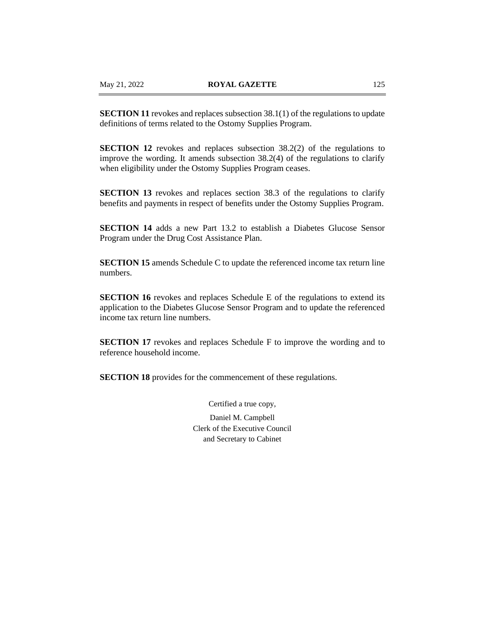**SECTION 11** revokes and replaces subsection 38.1(1) of the regulations to update definitions of terms related to the Ostomy Supplies Program.

**SECTION 12** revokes and replaces subsection 38.2(2) of the regulations to improve the wording. It amends subsection 38.2(4) of the regulations to clarify when eligibility under the Ostomy Supplies Program ceases.

**SECTION 13** revokes and replaces section 38.3 of the regulations to clarify benefits and payments in respect of benefits under the Ostomy Supplies Program.

**SECTION 14** adds a new Part 13.2 to establish a Diabetes Glucose Sensor Program under the Drug Cost Assistance Plan.

**SECTION 15** amends Schedule C to update the referenced income tax return line numbers.

**SECTION 16** revokes and replaces Schedule E of the regulations to extend its application to the Diabetes Glucose Sensor Program and to update the referenced income tax return line numbers.

**SECTION 17** revokes and replaces Schedule F to improve the wording and to reference household income.

**SECTION 18** provides for the commencement of these regulations.

Certified a true copy,

Daniel M. Campbell Clerk of the Executive Council and Secretary to Cabinet